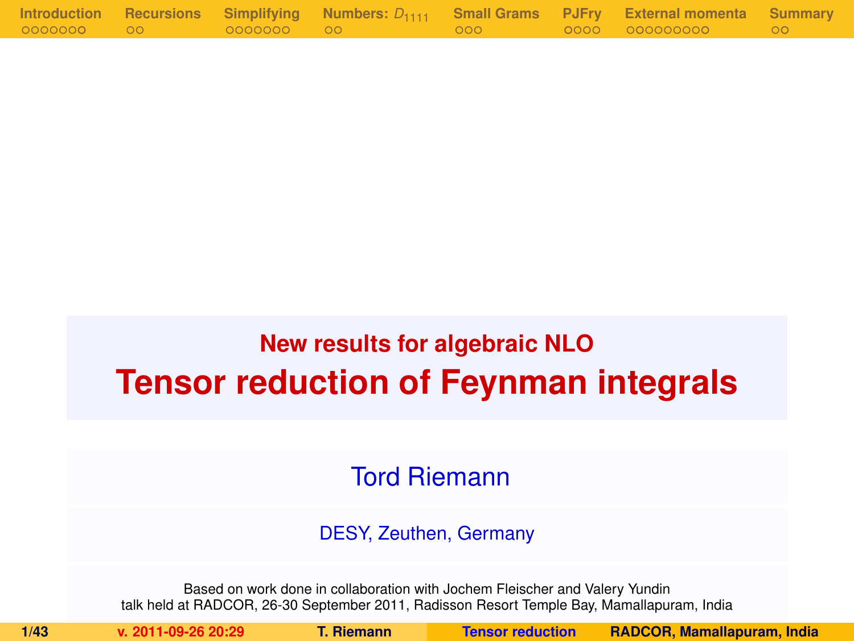|            |            |                                                                                | Introduction Recursions Simplifying Numbers: $D_{1111}$ Small Grams PJFry External momenta Summary |  |
|------------|------------|--------------------------------------------------------------------------------|----------------------------------------------------------------------------------------------------|--|
| 0000000 00 | 0000000 00 | $\overline{\phantom{a}}$ 000 $\overline{\phantom{a}}$ $\overline{\phantom{a}}$ | 0000 000000000 00                                                                                  |  |

# **New results for algebraic NLO Tensor reduction of Feynman integrals**

<span id="page-0-0"></span>Tord Riemann

DESY, Zeuthen, Germany

Based on work done in collaboration with Jochem Fleischer and Valery Yundin talk held at RADCOR, 26-30 September 2011, Radisson Resort Temple Bay, Mamallapuram, India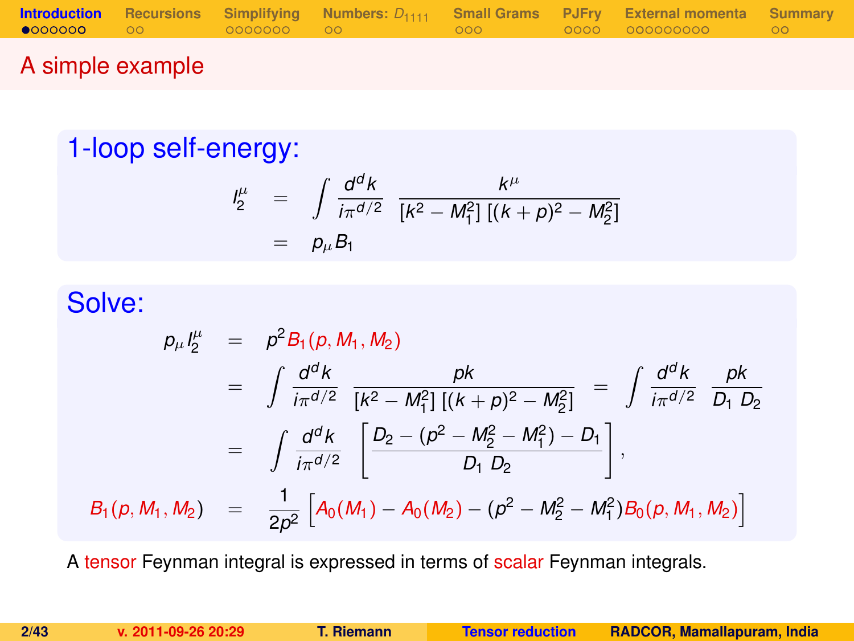|        |  |  | <b>Introduction</b> Recursions Simplifying Numbers: $D_{1111}$ Small Grams PJFry External momenta Summary |  |
|--------|--|--|-----------------------------------------------------------------------------------------------------------|--|
|        |  |  |                                                                                                           |  |
| ______ |  |  |                                                                                                           |  |

### A simple example

## 1-loop self-energy:

<span id="page-1-0"></span>
$$
\begin{array}{rcl}\n l_2^{\mu} & = & \int \frac{d^d k}{i\pi^{d/2}} \frac{k^{\mu}}{[k^2 - M_1^2] \left[ (k+p)^2 - M_2^2 \right]} \\
 & = & p_{\mu} B_1\n \end{array}
$$

## Solve:

$$
p_{\mu}I_{2}^{\mu} = p^{2}B_{1}(p, M_{1}, M_{2})
$$
  
\n
$$
= \int \frac{d^{d}k}{i\pi^{d/2}} \frac{pk}{[k^{2} - M_{1}^{2}][(k+p)^{2} - M_{2}^{2}]} = \int \frac{d^{d}k}{i\pi^{d/2}} \frac{pk}{D_{1} D_{2}}
$$
  
\n
$$
= \int \frac{d^{d}k}{i\pi^{d/2}} \left[ \frac{D_{2} - (p^{2} - M_{2}^{2} - M_{1}^{2}) - D_{1}}{D_{1} D_{2}} \right],
$$
  
\n
$$
B_{1}(p, M_{1}, M_{2}) = \frac{1}{2p^{2}} \left[ A_{0}(M_{1}) - A_{0}(M_{2}) - (p^{2} - M_{2}^{2} - M_{1}^{2}) B_{0}(p, M_{1}, M_{2}) \right]
$$

A tensor Feynman integral is expressed in terms of scalar Feynman integrals.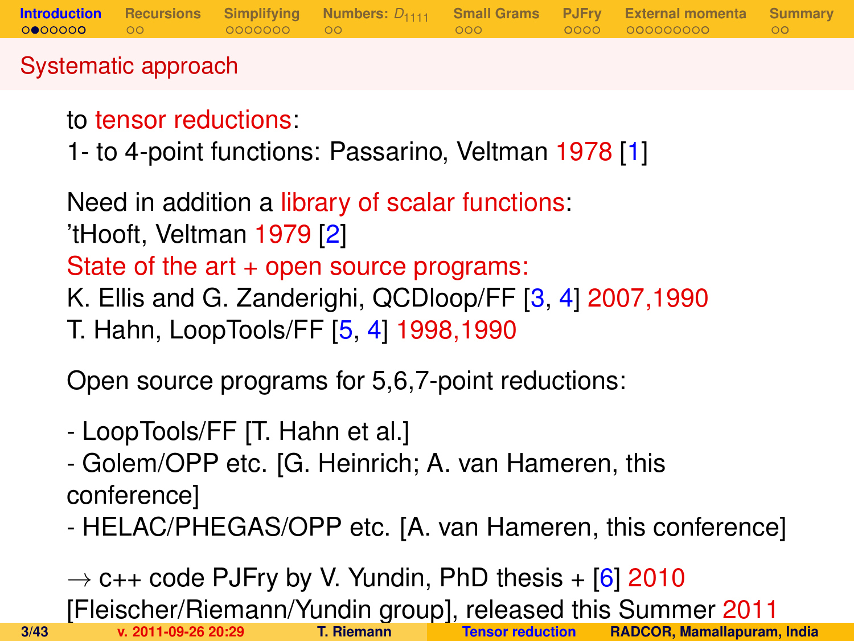### Systematic approach

## to tensor reductions:

1- to 4-point functions: Passarino, Veltman 1978 [\[1\]](#page-41-0)

Need in addition a library of scalar functions: 'tHooft, Veltman 1979 [\[2\]](#page-41-1) State of the art + open source programs: K. Ellis and G. Zanderighi, QCDloop/FF [\[3,](#page-41-2) [4\]](#page-41-3) 2007,1990 T. Hahn, LoopTools/FF [\[5,](#page-41-4) [4\]](#page-41-3) 1998,1990

Open source programs for 5,6,7-point reductions:

- LoopTools/FF [T. Hahn et al.]
- Golem/OPP etc. [G. Heinrich; A. van Hameren, this conference]
- HELAC/PHEGAS/OPP etc. [A. van Hameren, this conference]

 $\rightarrow$  c++ code PJFry by V. Yundin, PhD thesis + [\[6\]](#page-41-5) 2010 [Fleischer/Riemann/Yundin group], released this Summer 2011 **3/43 v. 2011-09-26 20:29 T. Riemann [Tensor reduction](#page-0-0) RADCOR, Mamallapuram, India**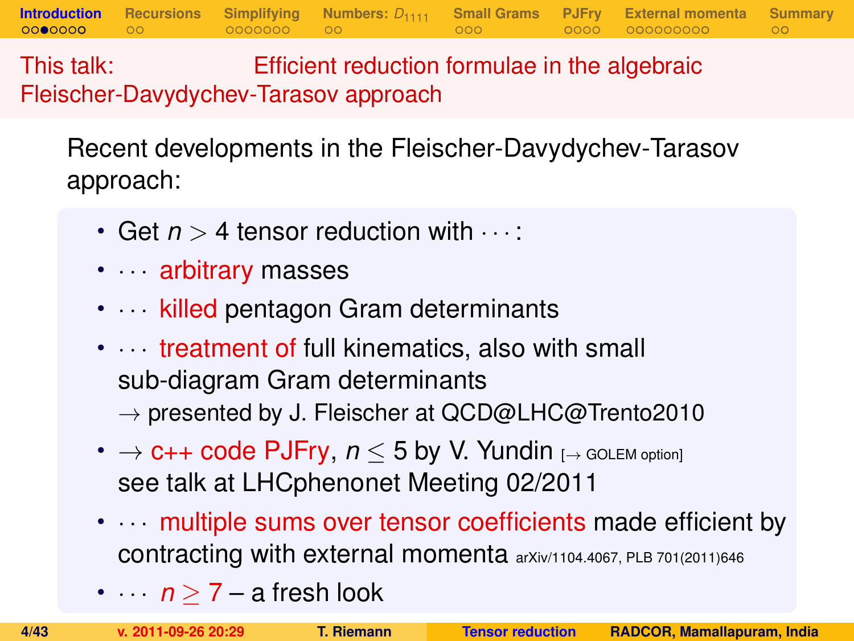This talk: Efficient reduction formulae in the algebraic Fleischer-Davydychev-Tarasov approach

Recent developments in the Fleischer-Davydychev-Tarasov approach:

**[Introduction](#page-1-0) [Recursions](#page-10-0) [Simplifying](#page-12-0) [Numbers:](#page-19-0)** *D*<sup>1111</sup> **[Small Grams](#page-21-0) [PJFry](#page-24-0) [External momenta](#page-29-0) [Summary](#page-40-0)**

- Get  $n > 4$  tensor reduction with  $\cdots$ :
- · · · arbitrary masses
- $\cdots$  killed pentagon Gram determinants
- $\cdots$  treatment of full kinematics, also with small sub-diagram Gram determinants  $\rightarrow$  presented by J. Fleischer at QCD@LHC@Trento2010
- $\rightarrow$  **c++ code PJFry,**  $n \leq 5$  **by V. Yundin** [ $\rightarrow$  GOLEM option] see talk at LHCphenonet Meeting 02/2011
- multiple sums over tensor coefficients made efficient by contracting with external momenta arXiv/1104.4067, PLB 701(2011)646
- $\cdots$  *n*  $\geq$  7 a fresh look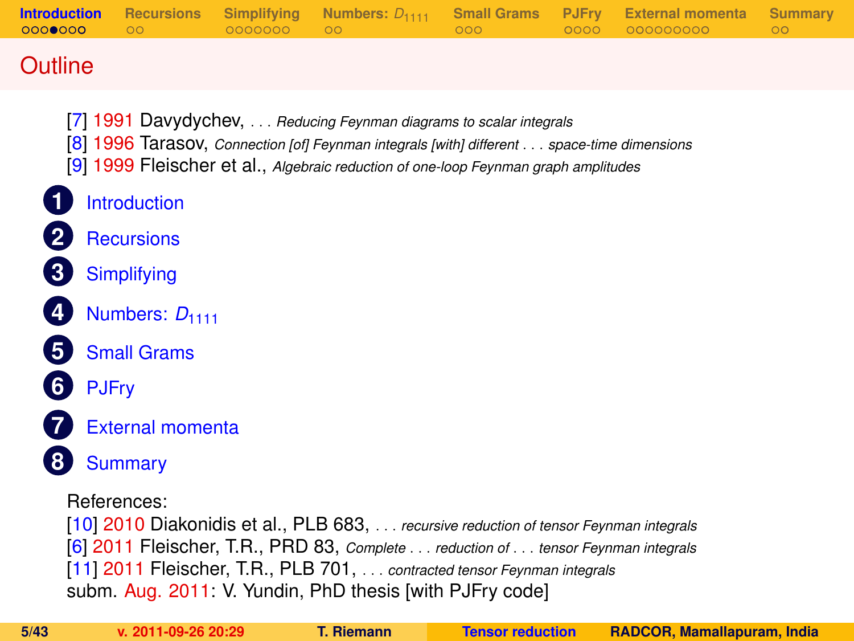| <b>Introduction</b><br>0000000 | <b>Recursions</b><br>ററ | <b>Simplifying</b><br>0000000 | Numbers: $D_{1111}$<br>OO.                                                                                                                                                                                                                               | <b>Small Grams</b><br>000 | <b>PJFrv</b><br>0000 | <b>External momenta</b><br>000000000 | <b>Summary</b><br>$\circ$ |
|--------------------------------|-------------------------|-------------------------------|----------------------------------------------------------------------------------------------------------------------------------------------------------------------------------------------------------------------------------------------------------|---------------------------|----------------------|--------------------------------------|---------------------------|
| Outline                        |                         |                               |                                                                                                                                                                                                                                                          |                           |                      |                                      |                           |
|                                | <b>Introduction</b>     |                               | [7] 1991 Davydychev,  Reducing Feynman diagrams to scalar integrals<br>[8] 1996 Tarasov, Connection [of] Feynman integrals [with] different space-time dimensions<br>[9] 1999 Fleischer et al., Algebraic reduction of one-loop Feynman graph amplitudes |                           |                      |                                      |                           |

- **2** [Recursions](#page-10-0)
- **3** [Simplifying](#page-12-0)
	- **[Numbers:](#page-19-0) D<sub>1111</sub>**
- **5** [Small Grams](#page-21-0)
- **6** [PJFry](#page-24-0)
- 
- **7** [External momenta](#page-29-0)
- **8** [Summary](#page-40-0)

References:

[\[10\]](#page-42-1) 2010 Diakonidis et al., PLB 683, . . . *recursive reduction of tensor Feynman integrals* [\[6\]](#page-41-5) 2011 Fleischer, T.R., PRD 83, *Complete* . . . *reduction of* . . . *tensor Feynman integrals* [\[11\]](#page-42-2) 2011 Fleischer, T.R., PLB 701, . . . *contracted tensor Feynman integrals* subm. Aug. 2011: V. Yundin, PhD thesis [with PJFry code]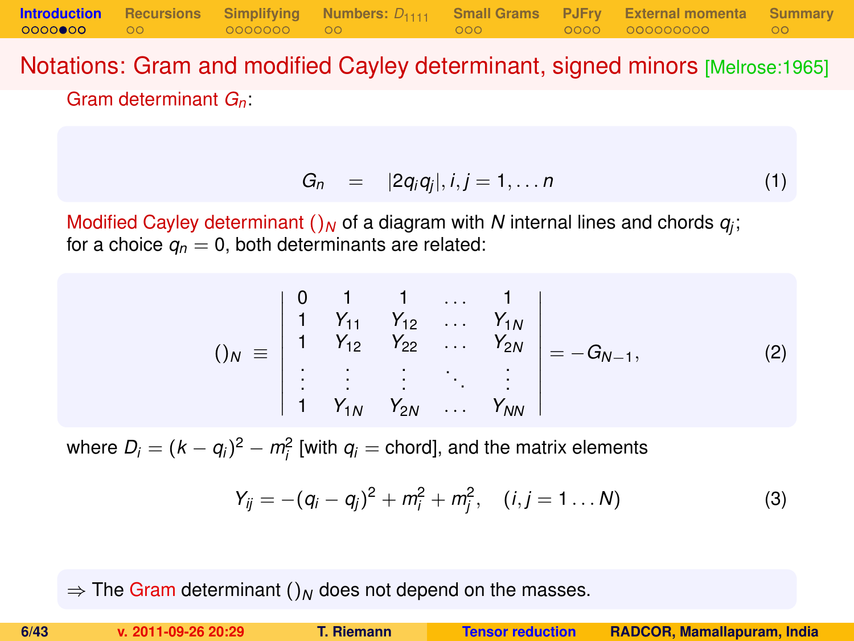Notations: Gram and modified Cayley determinant, signed minors [Melrose:1965] Gram determinant *Gn*:

**[Introduction](#page-1-0) [Recursions](#page-10-0) [Simplifying](#page-12-0) [Numbers:](#page-19-0)** *D*<sup>1111</sup> **[Small Grams](#page-21-0) [PJFry](#page-24-0) [External momenta](#page-29-0) [Summary](#page-40-0)**

$$
G_n = |2q_iq_j|, i,j = 1,\ldots n \qquad (1)
$$

Modified Cayley determinant  $()_N$  of a diagram with  $N$  internal lines and chords  $q_j$ ; for a choice  $q_n = 0$ , both determinants are related:

$$
()_{N} \equiv \begin{vmatrix} 0 & 1 & 1 & \dots & 1 \\ 1 & Y_{11} & Y_{12} & \dots & Y_{1N} \\ 1 & Y_{12} & Y_{22} & \dots & Y_{2N} \\ \vdots & \vdots & \vdots & \ddots & \vdots \\ 1 & Y_{1N} & Y_{2N} & \dots & Y_{NN} \end{vmatrix} = -G_{N-1},
$$
 (2)

where  $D_i = (k - q_i)^2 - m_i^2$  [with  $q_i$  = chord], and the matrix elements

$$
Y_{ij} = -(q_i - q_j)^2 + m_i^2 + m_j^2, \quad (i, j = 1 \dots N)
$$
 (3)

 $\Rightarrow$  The Gram determinant ()<sub>N</sub> does not depend on the masses.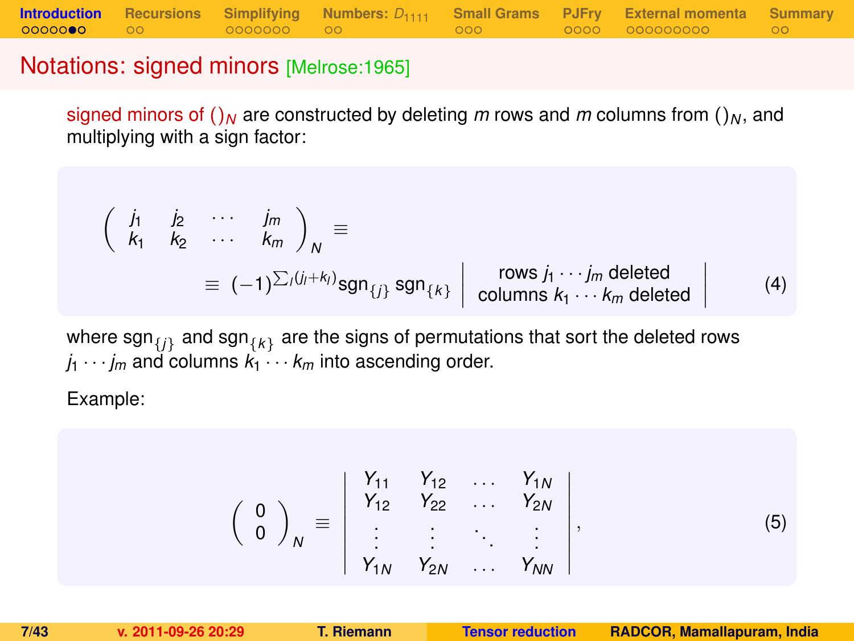#### Notations: signed minors [Melrose:1965]

signed minors of  $\int_M$  are constructed by deleting *m* rows and *m* columns from  $\int_M$ , and multiplying with a sign factor:

$$
\begin{pmatrix}\n\dot{J}_1 & \dot{J}_2 & \cdots & \dot{J}_m \\
k_1 & k_2 & \cdots & k_m\n\end{pmatrix}_N \equiv \equiv (-1)^{\sum_i (j_i + k_i)} \text{sgn}_{\{j\}} \text{sgn}_{\{k\}} \begin{pmatrix}\n\text{rows } j_1 \cdots j_m \text{ deleted} \\
\text{columns } k_1 \cdots k_m \text{ deleted}\n\end{pmatrix} \quad (4)
$$

where  $\mathsf{sgn}_{\{j\}}$  and  $\mathsf{sgn}_{\{k\}}$  are the signs of permutations that sort the deleted rows  $j_1 \cdots j_m$  and columns  $k_1 \cdots k_m$  into ascending order.

Example:

$$
\left(\begin{array}{c} 0 \\ 0 \end{array}\right)_N \equiv \left|\begin{array}{cccc} Y_{11} & Y_{12} & \dots & Y_{1N} \\ Y_{12} & Y_{22} & \dots & Y_{2N} \\ \vdots & \vdots & \ddots & \vdots \\ Y_{1N} & Y_{2N} & \dots & Y_{NN} \end{array}\right|, \tag{5}
$$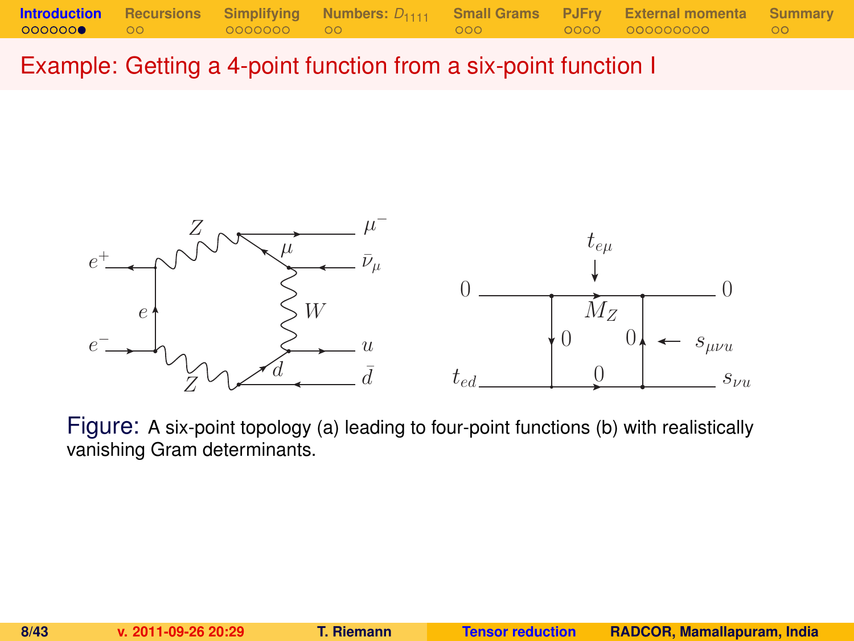Example: Getting a 4-point function from a six-point function I



Figure: A six-point topology (a) leading to four-point functions (b) with realistically vanishing Gram determinants.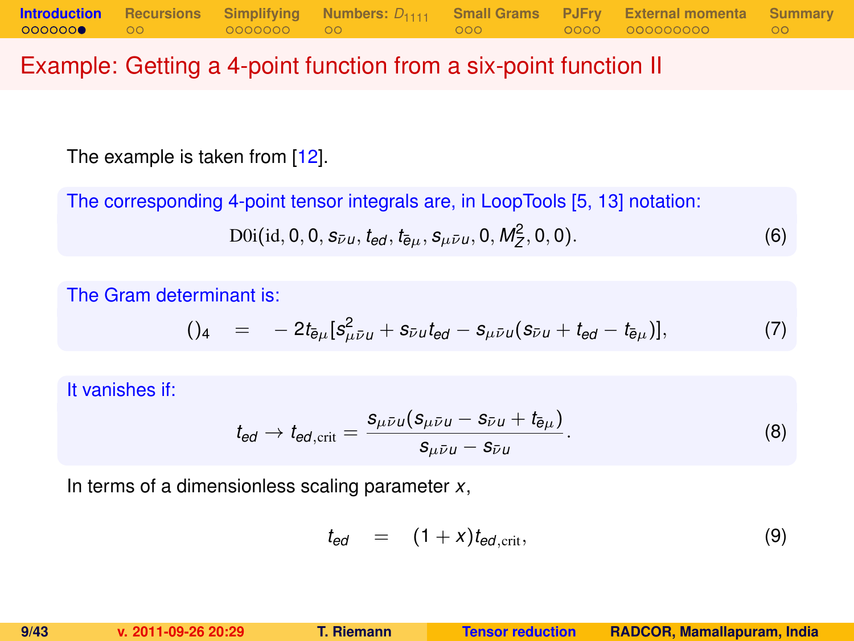### Example: Getting a 4-point function from a six-point function II

The example is taken from [\[12\]](#page-42-3).

The corresponding 4-point tensor integrals are, in LoopTools [\[5,](#page-41-4) [13\]](#page-42-4) notation:

$$
D0i(id, 0, 0, s_{\bar{\nu}u}, t_{ed}, t_{\bar{e}\mu}, s_{\mu\bar{\nu}u}, 0, M_Z^2, 0, 0).
$$
 (6)

The Gram determinant is:

$$
()_{4} = -2t_{\bar{e}\mu}[s_{\mu\bar{\nu}\mu}^{2} + s_{\bar{\nu}\mu}t_{\theta d} - s_{\mu\bar{\nu}\mu}(s_{\bar{\nu}\mu} + t_{\theta d} - t_{\bar{e}\mu})], \qquad (7)
$$

It vanishes if:

$$
t_{\text{ed}} \to t_{\text{ed,crit}} = \frac{s_{\mu\bar{\nu}\mu}(s_{\mu\bar{\nu}\mu} - s_{\bar{\nu}\mu} + t_{\bar{\theta}\mu})}{s_{\mu\bar{\nu}\mu} - s_{\bar{\nu}\mu}}.
$$
(8)

In terms of a dimensionless scaling parameter *x*,

$$
t_{ed} = (1+x)t_{ed,\text{crit}}, \qquad (9)
$$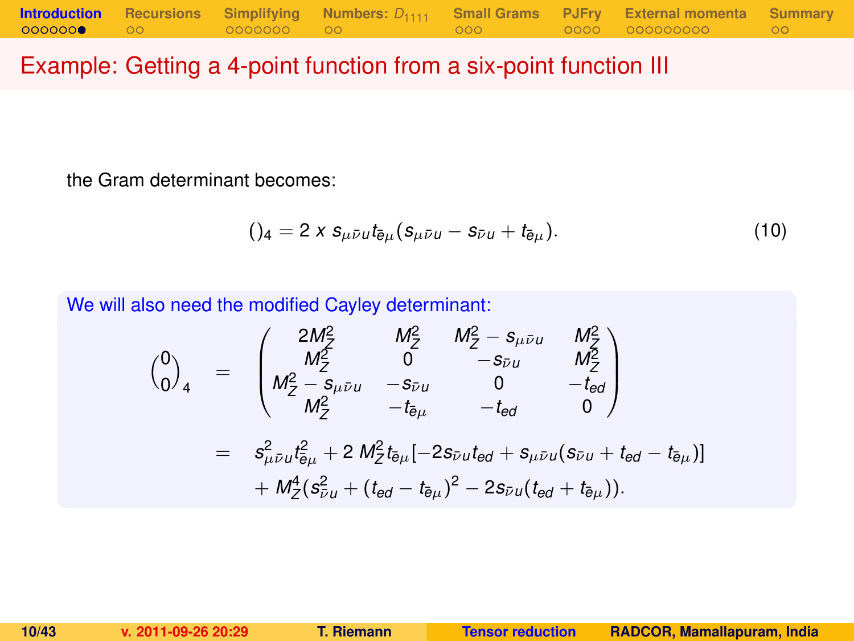### Example: Getting a 4-point function from a six-point function III

the Gram determinant becomes:

$$
()_{4} = 2 \times s_{\mu \bar{\nu} u} t_{\bar{e}\mu} (s_{\mu \bar{\nu} u} - s_{\bar{\nu} u} + t_{\bar{e}\mu}). \qquad (10)
$$

We will also need the modified Cayley determinant:

$$
\begin{array}{rcl}\n\binom{0}{0}_4 & = & \begin{pmatrix}\n2M_Z^2 & M_Z^2 & M_Z^2 - s_{\mu\bar{\nu}u} & M_Z^2 \\
M_Z^2 & 0 & -s_{\bar{\nu}u} & M_Z^2 \\
M_Z^2 - s_{\mu\bar{\nu}u} & -s_{\bar{\nu}u} & 0 & -t_{\bar{e}d} \\
M_Z^2 & -t_{\bar{e}\mu} & -t_{\bar{e}d} & 0\n\end{pmatrix} \\
& = & s_{\mu\bar{\nu}u}^2 t_{\bar{e}\mu}^2 + 2 M_Z^2 t_{\bar{e}\mu} [-2s_{\bar{\nu}u}t_{\bar{e}d} + s_{\mu\bar{\nu}u}(s_{\bar{\nu}u} + t_{\bar{e}d} - t_{\bar{e}\mu})] \\
& + M_Z^4 (s_{\bar{\nu}u}^2 + (t_{\bar{e}d} - t_{\bar{e}\mu})^2 - 2s_{\bar{\nu}u}(t_{\bar{e}d} + t_{\bar{e}\mu})).\n\end{array}
$$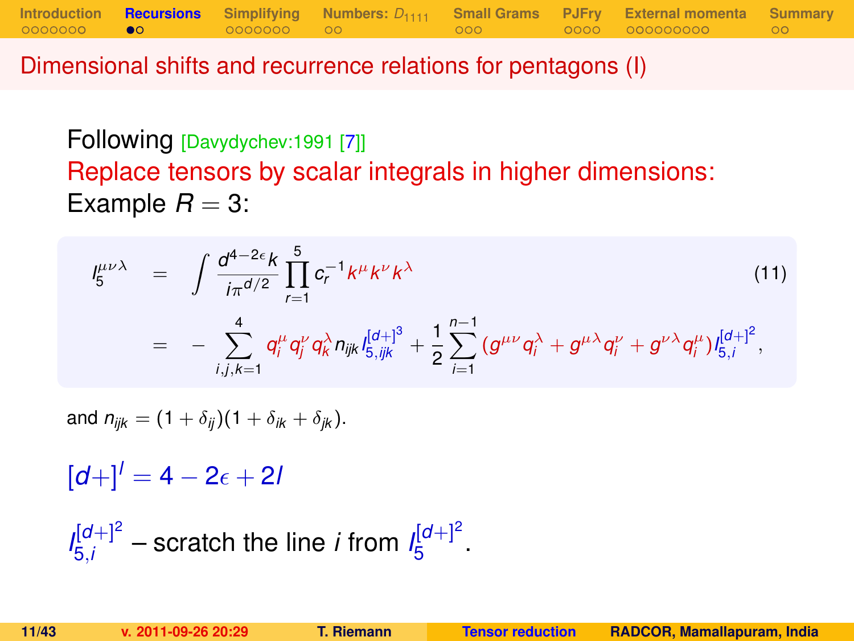Dimensional shifts and recurrence relations for pentagons (I)

Following [Davydychev:1991 [\[7\]](#page-41-6)] Replace tensors by scalar integrals in higher dimensions: Example  $R = 3$ :

**[Introduction](#page-1-0) [Recursions](#page-10-0) [Simplifying](#page-12-0) [Numbers:](#page-19-0)** *D*<sup>1111</sup> **[Small Grams](#page-21-0) [PJFry](#page-24-0) [External momenta](#page-29-0) [Summary](#page-40-0)**

$$
I_{5}^{\mu\nu\lambda} = \int \frac{d^{4-2\epsilon}k}{i\pi^{d/2}} \prod_{r=1}^{5} c_{r}^{-1}k^{\mu}k^{\nu}k^{\lambda}
$$
\n
$$
= - \sum_{i,j,k=1}^{4} q_{i}^{\mu} q_{j}^{\nu} q_{k}^{\lambda} n_{ijk} I_{5,ijk}^{[d+]} + \frac{1}{2} \sum_{i=1}^{n-1} (g^{\mu\nu} q_{i}^{\lambda} + g^{\mu\lambda} q_{i}^{\nu} + g^{\nu\lambda} q_{i}^{\mu}) I_{5,i}^{[d+]}^{2},
$$
\n(11)

and  $n_{ijk} = (1 + \delta_{ij})(1 + \delta_{ik} + \delta_{ik}).$ 

 $[d+1]$ <sup>*l*</sup> = 4 – 2<sub> $\epsilon$ </sub> + 2*l* 

<span id="page-10-0"></span> $I_{5i}^{[d+]2}$  $\frac{d[d+1]^2}{5i}$  – scratch the line *i* from  $I_5^{[d+1]^2}$ י"ם<br>5 ·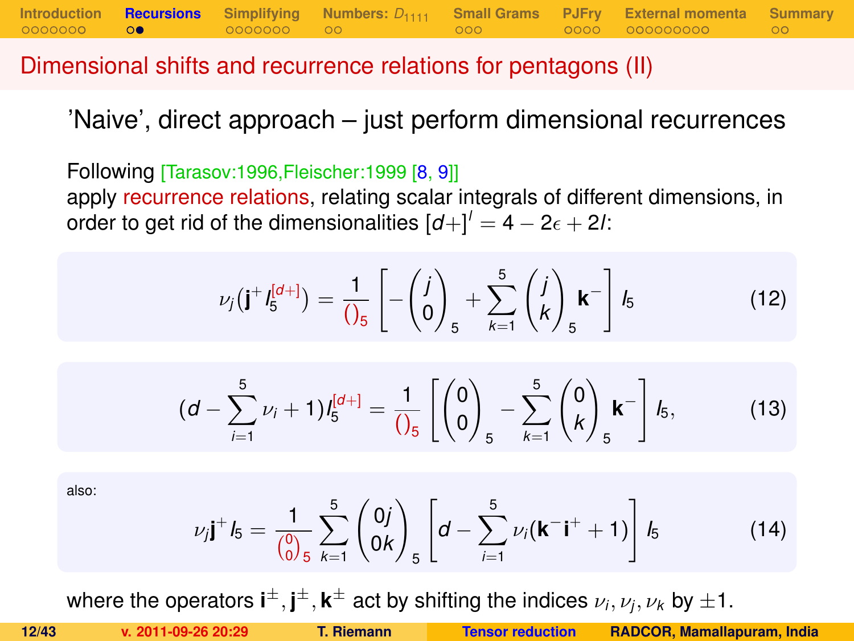Dimensional shifts and recurrence relations for pentagons (II)

'Naive', direct approach – just perform dimensional recurrences

**[Introduction](#page-1-0) [Recursions](#page-10-0)** [Simplifying](#page-12-0) [Numbers:](#page-19-0)  $D_{1111}$  [Small Grams](#page-21-0) [PJFry](#page-24-0) [External momenta](#page-29-0) [Summary](#page-40-0)<br>00000000 00 00000000 00

Following [Tarasov:1996,Fleischer:1999 [\[8,](#page-41-7) [9\]](#page-41-8)] apply recurrence relations, relating scalar integrals of different dimensions, in order to get rid of the dimensionalities  $\left[d + \right]^{l} = 4 - 2\epsilon + 2l$ .

$$
\nu_j(\mathbf{j}^+I_5^{[d+]} ) = \frac{1}{\left(\int_5^1 \left[ -\left(\begin{matrix} j \\ 0 \end{matrix}\right)_5 + \sum_{k=1}^5 \left(\begin{matrix} j \\ k \end{matrix}\right)_5 \mathbf{k}^- \right] I_5
$$
 (12)

<span id="page-11-0"></span>
$$
(d - \sum_{i=1}^{5} \nu_i + 1) I_5^{[d+]} = \frac{1}{\left(\begin{matrix} 0 \\ 0 \end{matrix}\right)}_5 - \sum_{k=1}^{5} {0 \choose k}_5 k^{-} \right] I_5, \tag{13}
$$

also:

$$
\nu_j \mathbf{j}^+ \mathbf{l}_5 = \frac{1}{\binom{0}{0}} \sum_{k=1}^5 \binom{0j}{0k} \left[ d - \sum_{i=1}^5 \nu_i (\mathbf{k}^- \mathbf{i}^+ + 1) \right] \mathbf{l}_5 \tag{14}
$$

where the operators  $\textbf{i}^{\pm}, \textbf{j}^{\pm}, \textbf{k}^{\pm}$  act by shifting the indices  $\nu_i, \nu_j, \nu_k$  by  $\pm 1.$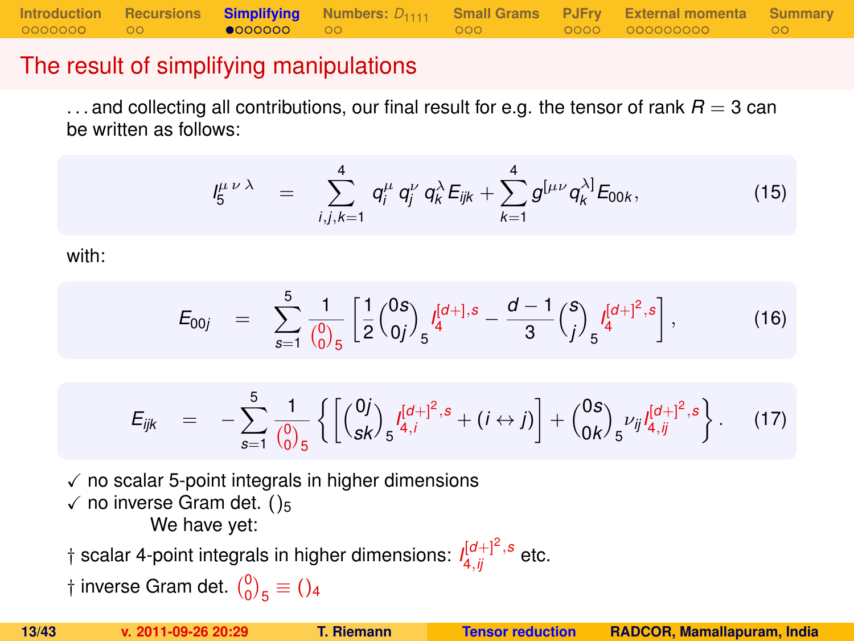**[Introduction](#page-1-0) [Recursions](#page-10-0) [Simplifying](#page-12-0)** [Numbers:](#page-19-0)  $D_{1111}$  [Small Grams](#page-21-0) [PJFry](#page-24-0) [External momenta](#page-29-0) [Summary](#page-40-0)<br>00000000 00 **e000000** 00

### The result of simplifying manipulations

 $\dots$  and collecting all contributions, our final result for e.g. the tensor of rank  $R = 3$  can be written as follows:

$$
I_5^{\mu \nu \lambda} = \sum_{i,j,k=1}^4 q_i^{\mu} q_j^{\nu} q_k^{\lambda} E_{ijk} + \sum_{k=1}^4 g^{[\mu \nu} q_k^{\lambda]} E_{00k}, \qquad (15)
$$

with:

$$
E_{00j} = \sum_{s=1}^{5} \frac{1}{\binom{0}{0.5}} \left[ \frac{1}{2} \binom{0s}{0j} \int_{5}^{[d+],s} -\frac{d-1}{3} \binom{s}{j} \int_{5}^{[d+]^2,s} \right],
$$
(16)

<span id="page-12-0"></span>
$$
E_{ijk} = -\sum_{s=1}^{5} \frac{1}{\binom{0}{0}} \left\{ \left[ \binom{0j}{sk} \frac{I^{[d]+1]^2,s}}{s^{4,j}} + (i \leftrightarrow j) \right] + \binom{0s}{0k} \frac{I^{[d]+1]^2,s}}{s^{1j} J_{4,ij}^{[d]+2}} \right\}.
$$
 (17)

 $\checkmark$  no scalar 5-point integrals in higher dimensions  $\checkmark$  no inverse Gram det. ()<sub>5</sub> We have yet:

 $\dagger$  scalar 4-point integrals in higher dimensions:  $\iint_{4,ij}^{[d+]} \int_{0}^{2,}$  etc.

† inverse Gram det.  $\binom{0}{0}_5 \equiv$  ()<sub>4</sub>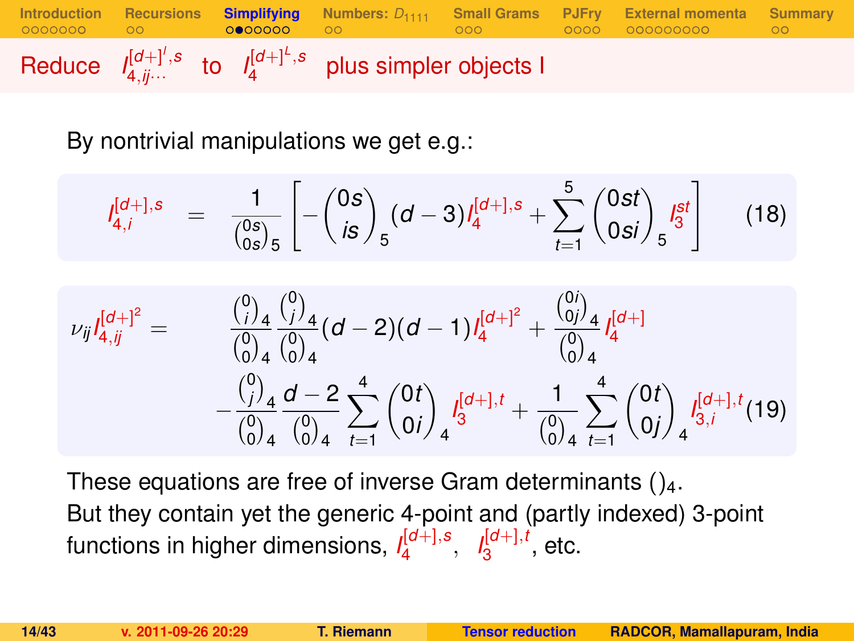

By nontrivial manipulations we get e.g.:

$$
I_{4,i}^{[d+],s} = \frac{1}{\binom{0s}{0s}_5} \left[ -\binom{0s}{is}_5 (d-3) I_4^{[d+],s} + \sum_{t=1}^5 \binom{0st}{0si}_5 I_3^{st} \right]
$$
(18)

$$
\nu_{ij}I_{4,jj}^{[d+]^2} = \n\begin{array}{rcl}\n\binom{0}{i} & \binom{0}{j}_4 & (d-2)(d-1)I_4^{[d+]^2} + \frac{\binom{0}{0j}_4}{\binom{0}{0}_4} I_4^{[d+]} \\
& - \frac{\binom{0}{j}_4}{\binom{0}{0}_4} \frac{d-2}{\binom{0}{0}_4} \sum_{t=1}^4 \binom{0t}{0i}_4 I_3^{[d+1,t]} + \frac{1}{\binom{0}{0}_4} \sum_{t=1}^4 \binom{0t}{0j}_4 I_{3,i}^{[d+1,t}(19)\n\end{array}
$$

These equations are free of inverse Gram determinants  $()_4$ . But they contain yet the generic 4-point and (partly indexed) 3-point functions in higher dimensions, *I* [*d*+],*s* 4 , *I* [*d*+],*t*  $\frac{1}{3}^{\left[0\pm\right],i}$ , etc.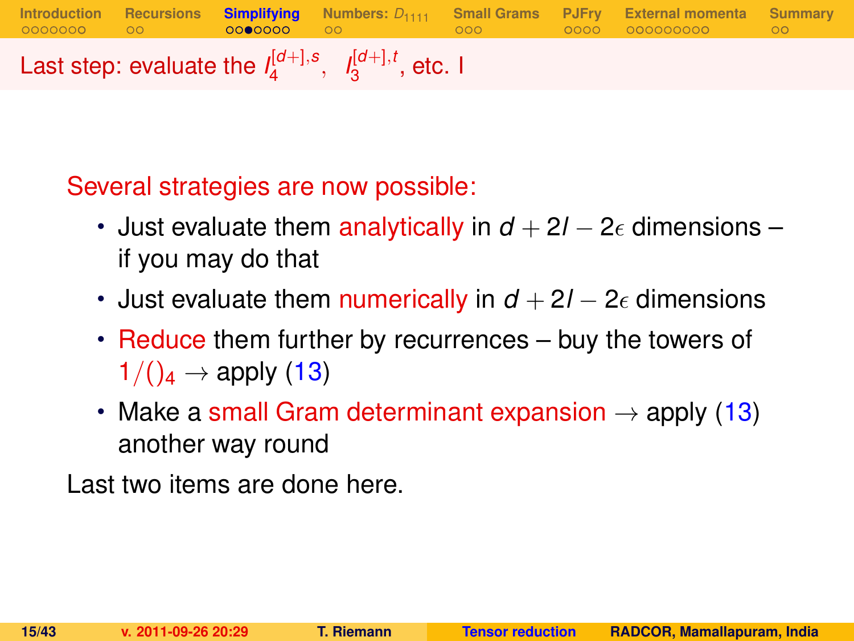**[Introduction](#page-1-0) [Recursions](#page-10-0) [Simplifying](#page-12-0) [Numbers:](#page-19-0)** *D*<sup>1111</sup> **[Small Grams](#page-21-0) [PJFry](#page-24-0) [External momenta](#page-29-0) [Summary](#page-40-0)** Last step: evaluate the  $I_4^{[d+1,s]}$  $I_4^{[d+]}, s, I_3^{[d+]}, t$  $_3^{\mathsf{I}^{\mathsf{U}+\mathsf{J}},\mathsf{t}}$ , etc. I

Several strategies are now possible:

- Just evaluate them analytically in  $d + 2l 2\epsilon$  dimensions if you may do that
- Just evaluate them numerically in  $d + 2l 2\epsilon$  dimensions
- Reduce them further by recurrences buy the towers of  $1/(\mathcal{C}_4 \rightarrow \mathsf{apply}(13))$  $1/(\mathcal{C}_4 \rightarrow \mathsf{apply}(13))$  $1/(\mathcal{C}_4 \rightarrow \mathsf{apply}(13))$
- Make a small Gram determinant expansion  $\rightarrow$  apply [\(13\)](#page-11-0) another way round

Last two items are done here.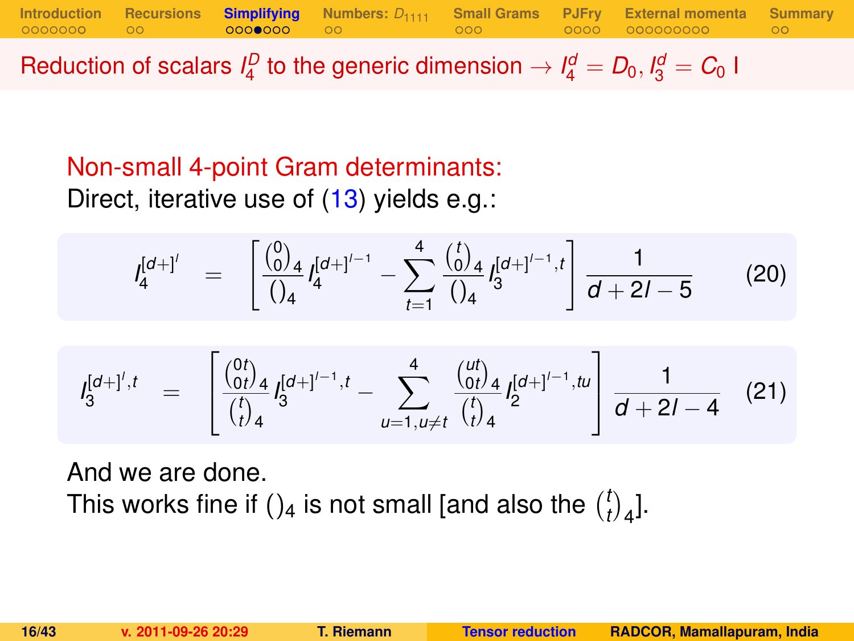**[Introduction](#page-1-0) [Recursions](#page-10-0) [Simplifying](#page-12-0)** [Numbers:](#page-19-0)  $D_{1111}$  [Small Grams](#page-21-0) [PJFry](#page-24-0) [External momenta](#page-29-0) [Summary](#page-40-0)<br>00000000 00 00000000 00

Reduction of scalars  $I_4^D$  to the generic dimension  $\rightarrow I_4^d = D_0, I_3^d = C_0$  I

## Non-small 4-point Gram determinants: Direct, iterative use of [\(13\)](#page-11-0) yields e.g.:

$$
I_4^{[d+1']} = \left[ \frac{\binom{0}{0}_4}{\binom{1}{4}} I_4^{[d+1]-1} - \sum_{t=1}^4 \frac{\binom{t}{0}_4}{\binom{1}{4}} I_3^{[d+1]-1, t} \right] \frac{1}{d+2l-5}
$$
(20)

$$
I_3^{[d+]',t} = \begin{bmatrix} \frac{\binom{0t}{0t}}{t} & 1 & \cdots & \cdots & \cdots & \cdots & \cdots & \cdots & \cdots & \cdots & \cdots & \cdots & \cdots & \cdots & \cdots & \cdots & \cdots & \cdots & \cdots & \cdots & \cdots & \cdots & \cdots & \cdots & \cdots & \cdots & \cdots & \cdots & \cdots & \cdots & \cdots & \cdots & \cdots & \cdots & \cdots & \cdots & \cdots & \cdots & \cdots & \cdots & \cdots & \cdots & \cdots & \cdots & \cdots & \cdots & \cdots & \cdots & \cdots & \cdots & \cdots & \cdots & \cdots & \cdots & \cdots & \cdots & \cdots & \cdots & \cdots & \cdots & \cdots & \cdots & \cdots & \cdots & \cdots & \cdots & \cdots & \cdots & \cdots & \cdots & \cdots & \cdots & \cdots & \cdots & \cdots & \cdots & \cdots & \cdots & \cdots & \cdots & \cdots & \cdots & \cdots & \cdots & \cdots & \cdots & \cdots & \cdots & \cdots & \cdots & \cdots & \cdots & \cdots & \cdots & \cdots & \cdots & \cdots & \cdots & \cdots & \cdots & \cdots & \cdots & \cdots & \cdots & \cdots & \cdots & \cdots & \cdots & \cdots & \cdots & \cdots & \cdots & \cdots & \cdots & \cdots & \cdots & \cdots & \cdots & \cdots & \cdots & \cdots & \cdots &
$$

And we are done. This works fine if ()<sub>4</sub> is not small [and also the  $\binom{l}{l}$  $\binom{t}{t}$ <sub>4</sub>].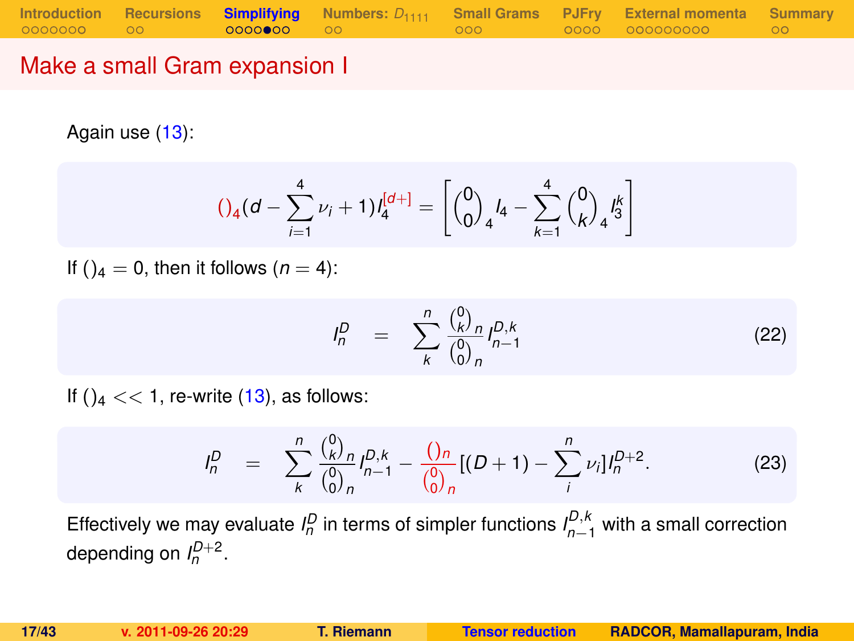### Make a small Gram expansion I

Again use [\(13\)](#page-11-0):

<span id="page-16-1"></span>
$$
()_{4}(d - \sum_{i=1}^{4} \nu_{i} + 1)l_{4}^{[d+]} = \left[{0 \choose 0}_{4}l_{4} - \sum_{k=1}^{4} {0 \choose k}_{4}l_{3}^{k} \right]
$$

If ( $a = 0$ , then it follows ( $n = 4$ ):

$$
I_n^D = \sum_{k}^{n} \frac{\binom{0}{k}^D n}{\binom{0}{0}^n} I_{n-1}^{D,k}
$$
 (22)

If  $()_4 \ll 1$ , re-write  $(13)$ , as follows:

<span id="page-16-0"></span>
$$
I_n^D = \sum_{k}^{n} \frac{\binom{0}{k} n}{\binom{0}{0} n} I_{n-1}^{D,k} - \frac{\binom{0}{n} n}{\binom{0}{0} n} [(D+1) - \sum_{i}^{n} \nu_i] I_n^{D+2}.
$$
 (23)

Effectively we may evaluate  $I_n^D$  in terms of simpler functions  $I_{n-1}^{D,k}$  with a small correction depending on  $I_n^{D+2}$ .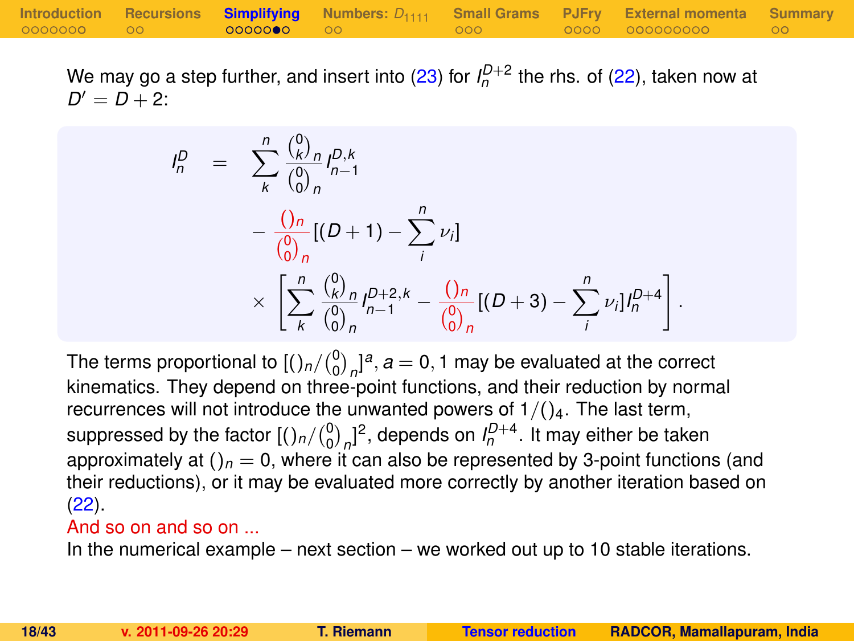We may go a step further, and insert into [\(23\)](#page-16-0) for  $I_n^{D+2}$  the rhs. of [\(22\)](#page-16-1), taken now at  $D' = D + 2$ :

$$
I_n^D = \sum_{k}^{n} \frac{\binom{0}{k}n}{\binom{0}{0}} I_{n-1}^{D,k}
$$
  
 
$$
- \frac{\binom{n}{0}}{\binom{0}{0}} I_{n}^{D,k} [D + 1] - \sum_{i}^{n} \nu_i]
$$
  
 
$$
\times \left[ \sum_{k}^{n} \frac{\binom{0}{k}n}{\binom{0}{0}} I_{n-1}^{D+2,k} - \frac{\binom{0}{0}}{\binom{0}{0}} I_{n}^{D+2} - \sum_{i}^{n} \nu_i I_{n}^{D+4} \right]
$$

The terms proportional to  $\left[\binom{0}{0}_n\right]^{a}$ ,  $a=0,1$  may be evaluated at the correct kinematics. They depend on three-point functions, and their reduction by normal recurrences will not introduce the unwanted powers of  $1/(\frac{1}{4}$ . The last term, suppressed by the factor  $[(\ln/(\frac{0}{0})_n]^2]$ , depends on  $I_n^{D+4}$ . It may either be taken approximately at  $()_n = 0$ , where it can also be represented by 3-point functions (and their reductions), or it may be evaluated more correctly by another iteration based on [\(22\)](#page-16-1).

#### And so on and so on ...

In the numerical example – next section – we worked out up to 10 stable iterations.

.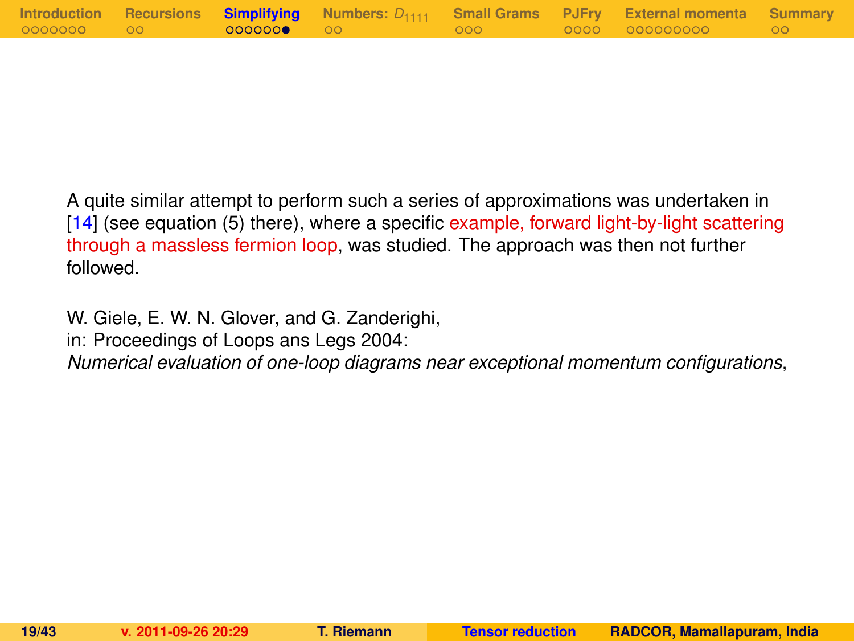|            |                        |         | Introduction Recursions Simplifying Numbers: $D_{1111}$ Small Grams PJFry External momenta Summary |  |
|------------|------------------------|---------|----------------------------------------------------------------------------------------------------|--|
| 0000000 00 | $\bigcirc$ 00000000 00 | - 000 - | 0000 000000000 00                                                                                  |  |

A quite similar attempt to perform such a series of approximations was undertaken in [\[14\]](#page-42-5) (see equation (5) there), where a specific example, forward light-by-light scattering through a massless fermion loop, was studied. The approach was then not further followed.

W. Giele, E. W. N. Glover, and G. Zanderighi,

in: Proceedings of Loops ans Legs 2004:

*Numerical evaluation of one-loop diagrams near exceptional momentum configurations*,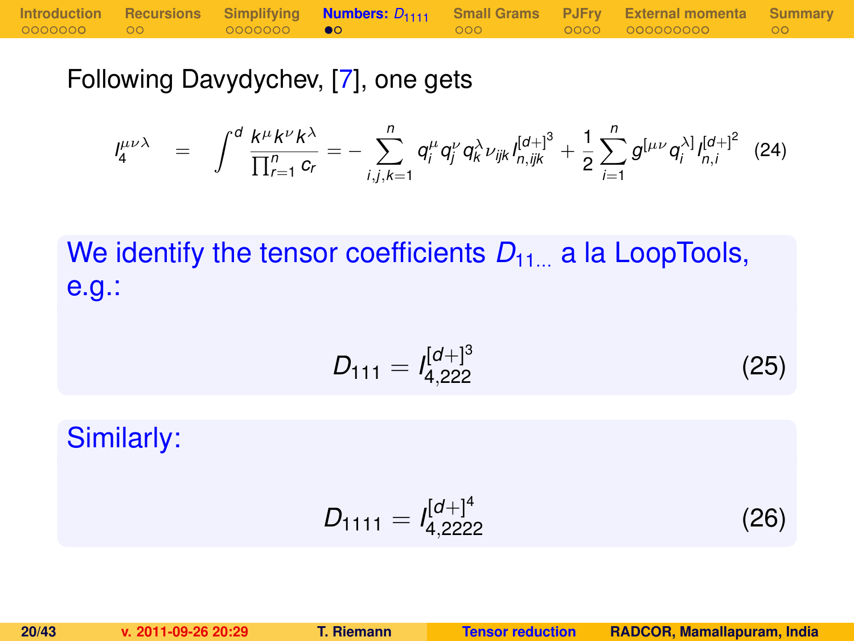Following Davydychev, [\[7\]](#page-41-6), one gets

$$
I_4^{\mu\nu\lambda} = \int^d \frac{k^{\mu}k^{\nu}k^{\lambda}}{\prod_{r=1}^n c_r} = -\sum_{i,j,k=1}^n q_i^{\mu} q_j^{\nu} q_k^{\lambda} \nu_{ijk} I_{n,ijk}^{[d+]^3} + \frac{1}{2} \sum_{i=1}^n g^{[\mu\nu} q_i^{\lambda]} I_{n,i}^{[d+]^2}
$$
 (24)

We identify the tensor coefficients  $D_{11}$  a la LoopTools, e.g.:

$$
D_{111} = I_{4,222}^{[d+]^{3}}
$$
 (25)

Similarly:

<span id="page-19-0"></span>
$$
D_{1111} = I_{4,2222}^{[d+]^4}
$$
 (26)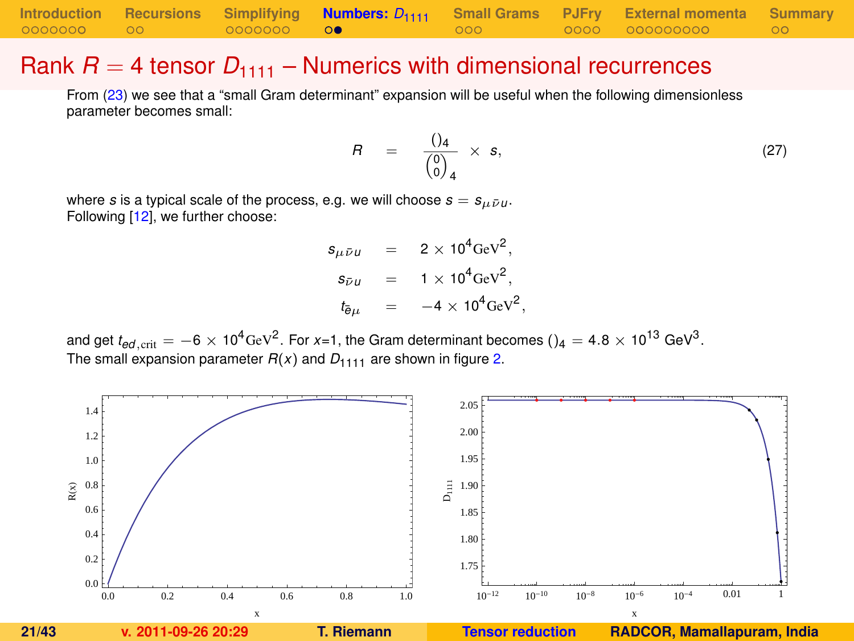|            |                   |                   | Introduction Recursions Simplifying <b>Numbers:</b> $D_{1111}$ Small Grams PJFry External momenta Summary |  |
|------------|-------------------|-------------------|-----------------------------------------------------------------------------------------------------------|--|
| 0000000 00 | 0000000 <b>00</b> | $\sim$ 000 $\sim$ | 0000 000000000 007                                                                                        |  |

#### Rank  $R = 4$  tensor  $D_{1111}$  – Numerics with dimensional recurrences

From [\(23\)](#page-16-0) we see that a "small Gram determinant" expansion will be useful when the following dimensionless parameter becomes small:

<span id="page-20-1"></span>
$$
R = \frac{()_4}{\begin{pmatrix} 0 \\ 0 \end{pmatrix}_4} \times s, \tag{27}
$$

where *s* is a typical scale of the process, e.g. we will choose  $s = s_{\mu \bar{\nu} \mu}$ . Following [\[12\]](#page-42-3), we further choose:

> $s_{\mu\bar{\nu}\mu}$  = 2 × 10<sup>4</sup>GeV<sup>2</sup>,  $s_{\bar{\nu}u}$  = 1 × 10<sup>4</sup>GeV<sup>2</sup>,  $t_{\bar{e}\mu}$  =  $-4 \times 10^4 \text{GeV}^2$ ,

and get  $t_{ed,\rm crit}=-6\times10^4$ GeV $^2$ . For *x*=1, the Gram determinant becomes () $_4=$  4.8  $\times$  10 $^{13}$  GeV $^3$ . The small expansion parameter  $R(x)$  and  $D_{1111}$  are shown in figure [2.](#page-20-0)

<span id="page-20-0"></span>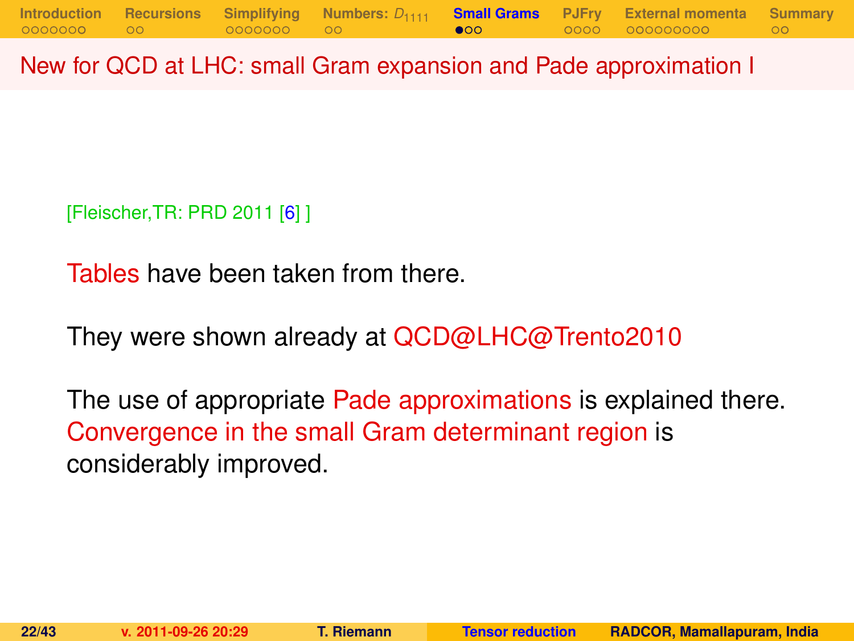New for QCD at LHC: small Gram expansion and Pade approximation I

[Fleischer,TR: PRD 2011 [\[6\]](#page-41-5) ]

Tables have been taken from there.

They were shown already at QCD@LHC@Trento2010

<span id="page-21-0"></span>The use of appropriate Pade approximations is explained there. Convergence in the small Gram determinant region is considerably improved.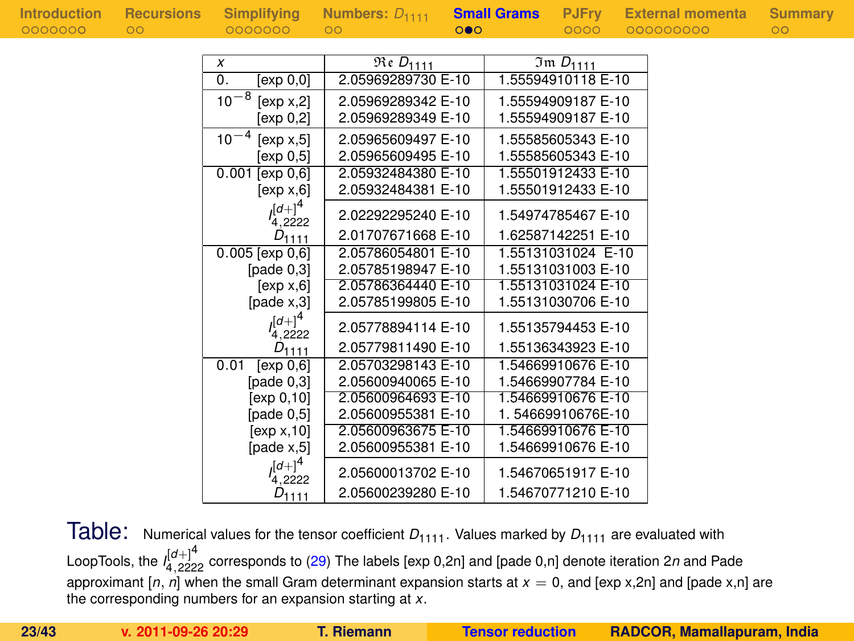|  |  |  | Introduction |  |  |  |
|--|--|--|--------------|--|--|--|
|  |  |  |              |  |  |  |
|  |  |  |              |  |  |  |
|  |  |  | 0000000      |  |  |  |

| x                       | $\overline{\mathfrak{Re}}$ $D_{1111}$ | $Im D_{1111}$      |
|-------------------------|---------------------------------------|--------------------|
| 0.<br>[exp 0,0]         | 2.05969289730 E-10                    | 1.55594910118 E-10 |
| $10^{-8}$<br>[exp x, 2] | 2.05969289342 E-10                    | 1.55594909187 E-10 |
| [exp 0,2]               | 2.05969289349 E-10                    | 1.55594909187 E-10 |
| $10^{-4}$<br>[exp x, 5] | 2.05965609497 E-10                    | 1.55585605343 E-10 |
| [exp 0.5]               | 2.05965609495 E-10                    | 1.55585605343 E-10 |
| [exp 0, 6]<br>0.001     | 2.05932484380 E-10                    | 1.55501912433 E-10 |
| [exp x, 6]              | 2.05932484381 E-10                    | 1.55501912433 E-10 |
| $l_{4,2222}^{[d+]}$     | 2.02292295240 E-10                    | 1.54974785467 E-10 |
| $D_{1111}$              | 2.01707671668 E-10                    | 1.62587142251 E-10 |
| $0.005$ [exp $0,6$ ]    | 2.05786054801 E-10                    | 1.55131031024 E-10 |
| [pade $0,3$ ]           | 2.05785198947 E-10                    | 1.55131031003 E-10 |
| [exp x, 6]              | 2.05786364440 E-10                    | 1.55131031024 E-10 |
| [pade x,3]              | 2.05785199805 E-10                    | 1.55131030706 E-10 |
| $([d+]^{4}$<br>4,2222   | 2.05778894114 E-10                    | 1.55135794453 E-10 |
| $D_{1111}$              | 2.05779811490 E-10                    | 1.55136343923 E-10 |
| 0.01<br>[exp 0, 6]      | 2.05703298143 E-10                    | 1.54669910676 E-10 |
| [pade $0,3$ ]           | 2.05600940065 E-10                    | 1.54669907784 E-10 |
| [exp 0,10]              | 2.05600964693 E-10                    | 1.54669910676 E-10 |
| [pade $0,5$ ]           | 2.05600955381 E-10                    | 1.54669910676E-10  |
| [exp x, 10]             | 2.05600963675 E-10                    | 1.54669910676 E-10 |
| [page x, 5]             | 2.05600955381 E-10                    | 1.54669910676 E-10 |
| $ d+ ^{4}$              | 2.05600013702 E-10                    | 1.54670651917 E-10 |
| $D_{1111}$              | 2.05600239280 E-10                    | 1.54670771210 E-10 |

Table: Numerical values for the tensor coefficient  $D_{1111}$ . Values marked by  $D_{1111}$  are evaluated with LoopTools, the *I* [*d*+]4 <sup>4</sup>,<sup>2222</sup> corresponds to [\(29\)](#page-30-0) The labels [exp 0,2n] and [pade 0,n] denote iteration 2*n* and Pade approximant  $[n, n]$  when the small Gram determinant expansion starts at  $x = 0$ , and  $[exp x, 2n]$  and  $[pade x, n]$  are the corresponding numbers for an expansion starting at *x*.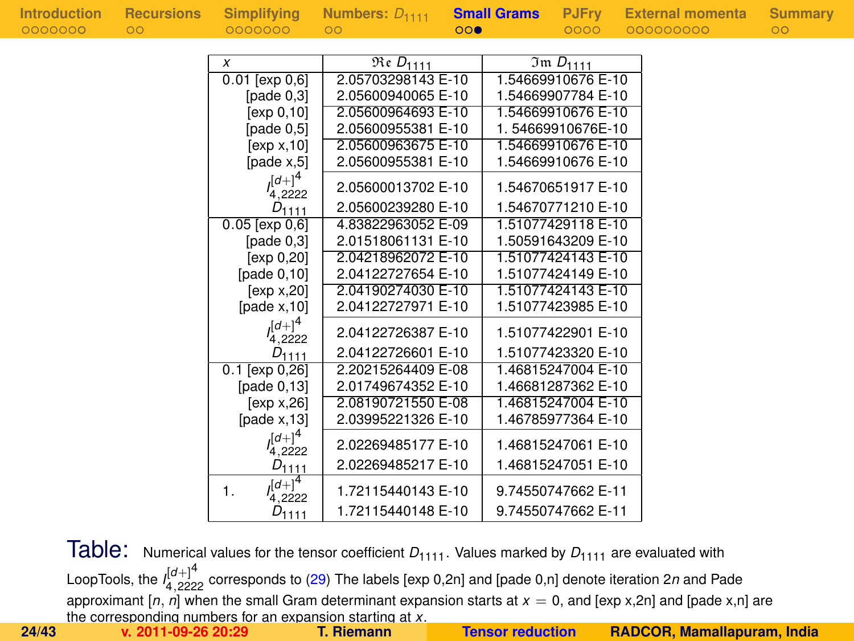| Introduction | <b>Recursions</b> | Simplifying                 | Numbers: $D_{1111}$                   |     | <b>Small Grams</b> | <b>PJFry</b>                | <b>External momenta</b> | Summary |
|--------------|-------------------|-----------------------------|---------------------------------------|-----|--------------------|-----------------------------|-------------------------|---------|
| 0000000      | $\circ$           | 0000000                     | $\circ$                               | 000 |                    | 0000                        | 000000000               | $\circ$ |
|              |                   |                             |                                       |     |                    |                             |                         |         |
|              |                   | x                           | $\overline{\mathfrak{Re}}$ $D_{1111}$ |     |                    | $\overline{3}$ m $D_{1111}$ |                         |         |
|              |                   | $0.01$ [ $exp 0.6$ ]        | 2.05703298143 E-10                    |     |                    | 1.54669910676 E-10          |                         |         |
|              |                   | [ $pade 0,3$ ]              | 2.05600940065 E-10                    |     |                    | 1.54669907784 E-10          |                         |         |
|              |                   | [exp 0, 10]                 | 2.05600964693 E-10                    |     |                    | 1.54669910676 E-10          |                         |         |
|              |                   | [pade $0,5$ ]               | 2.05600955381 E-10                    |     |                    | 1.54669910676E-10           |                         |         |
|              |                   | [exp x, 10]                 | 2.05600963675 E-10                    |     |                    | 1.54669910676 E-10          |                         |         |
|              |                   | [pade $x,5$ ]               | 2.05600955381 E-10                    |     |                    | 1.54669910676 E-10          |                         |         |
|              |                   | $(a+1)^4$<br>4.2222         | 2.05600013702 E-10                    |     |                    | 1.54670651917 E-10          |                         |         |
|              |                   | $D_{1111}$                  | 2.05600239280 E-10                    |     |                    | 1.54670771210 E-10          |                         |         |
|              |                   | $0.05$ [exp $0,6$ ]         | 4.83822963052 E-09                    |     |                    | 1.51077429118 E-10          |                         |         |
|              |                   | [pade $0,3$ ]               | 2.01518061131 E-10                    |     |                    | 1.50591643209 E-10          |                         |         |
|              |                   | [exp 0, 20]                 | 2.04218962072 E-10                    |     |                    | 1.51077424143 E-10          |                         |         |
|              |                   | [pade $0,10$ ]              | 2.04122727654 E-10                    |     |                    | 1.51077424149 E-10          |                         |         |
|              |                   | [exp x, 20]                 | 2.04190274030 E-10                    |     |                    | 1.51077424143 E-10          |                         |         |
|              |                   | [pade $x$ , 10]             | 2.04122727971 E-10                    |     |                    | 1.51077423985 E-10          |                         |         |
|              |                   | $\int [d+1]^4$<br>4,2222    | 2.04122726387 E-10                    |     |                    | 1.51077422901 E-10          |                         |         |
|              |                   | $D_{1111}$                  | 2.04122726601 E-10                    |     |                    | 1.51077423320 E-10          |                         |         |
|              |                   | $0.1$ [exp $0,26$ ]         | 2.20215264409 E-08                    |     |                    | 1.46815247004 E-10          |                         |         |
|              |                   | [page 0, 13]                | 2.01749674352 E-10                    |     |                    | 1.46681287362 E-10          |                         |         |
|              |                   | [exp x, 26]                 | 2.08190721550 E-08                    |     |                    | 1.46815247004 E-10          |                         |         |
|              |                   | [pade $x$ , 13]             | 2.03995221326 E-10                    |     |                    | 1.46785977364 E-10          |                         |         |
|              |                   | $(d+1)^4$<br>4,2222         | 2.02269485177 E-10                    |     |                    | 1.46815247061 E-10          |                         |         |
|              |                   | $D_{1111}$                  | 2.02269485217 E-10                    |     |                    | 1.46815247051 E-10          |                         |         |
|              |                   | $([d+]^{4}$<br>1.<br>4.2222 | 1.72115440143 E-10                    |     |                    | 9.74550747662 E-11          |                         |         |
|              |                   | $D_{1111}$                  | 1.72115440148 E-10                    |     |                    | 9.74550747662 E-11          |                         |         |

Table: Numerical values for the tensor coefficient  $D_{1111}$ . Values marked by  $D_{1111}$  are evaluated with LoopTools, the *I* [*d*+]4 <sup>4</sup>,<sup>2222</sup> corresponds to [\(29\)](#page-30-0) The labels [exp 0,2n] and [pade 0,n] denote iteration 2*n* and Pade approximant  $[n, n]$  when the small Gram determinant expansion starts at  $x = 0$ , and [exp x,2n] and [pade x,n] are the corresponding numbers for an expansion starting at *x*. **24/43 v. 2011-09-26 20:29 T. Riemann [Tensor reduction](#page-0-0) RADCOR, Mamallapuram, India**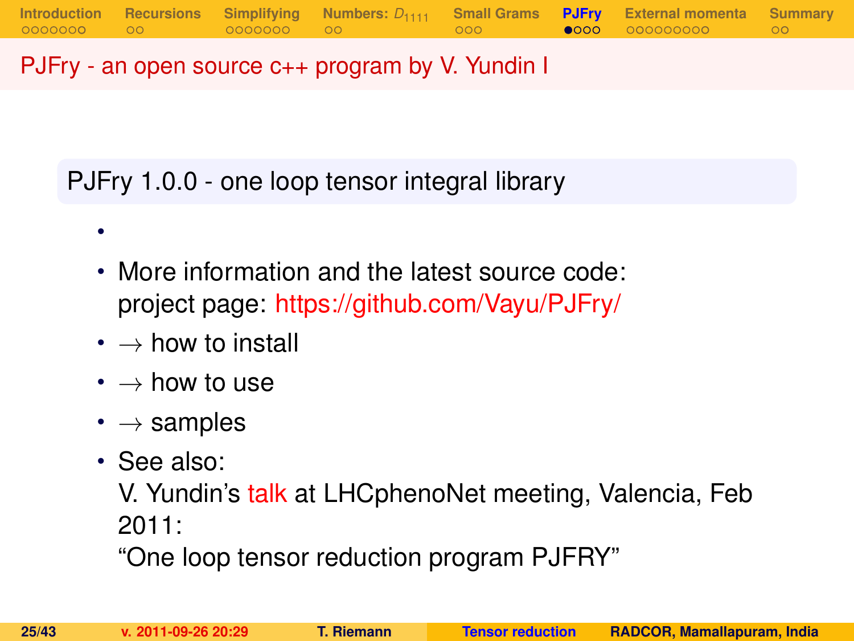PJFry - an open source c++ program by V. Yundin I

PJFry 1.0.0 - one loop tensor integral library

- More information and the latest source code: project page: <https://github.com/Vayu/PJFry/>
- $\cdot \rightarrow$  how to install
- $\bm{\cdot} \rightarrow$  how to use
- $\cdot \rightarrow$  samples
- See also:

•

V. Yundin's [talk](http://indico.ific.uv.es/indico/contributionDisplay.py?contribId=25&sessionId=15&confId=339) at LHCphenoNet meeting, Valencia, Feb 2011:

<span id="page-24-0"></span>"One loop tensor reduction program PJFRY"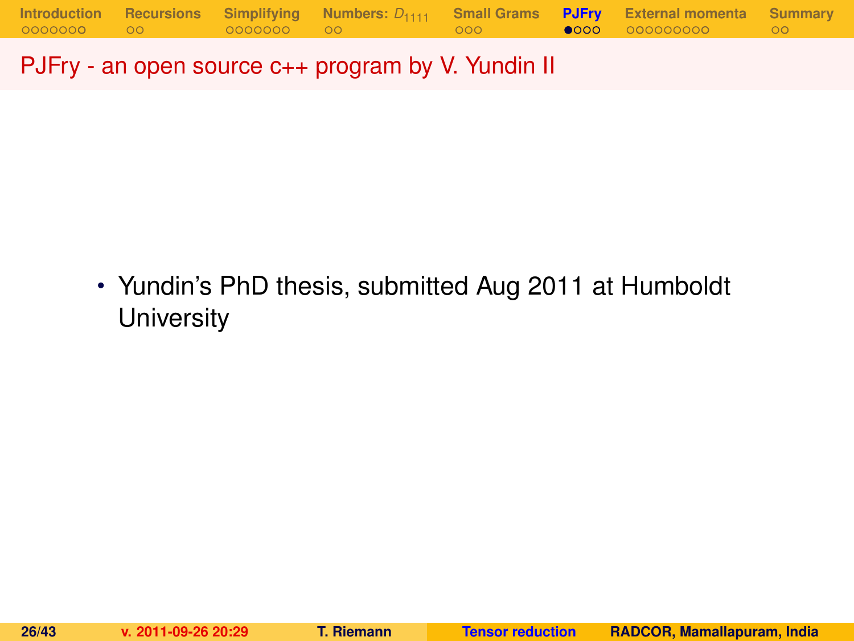PJFry - an open source c++ program by V. Yundin II

• Yundin's PhD thesis, submitted Aug 2011 at Humboldt **University**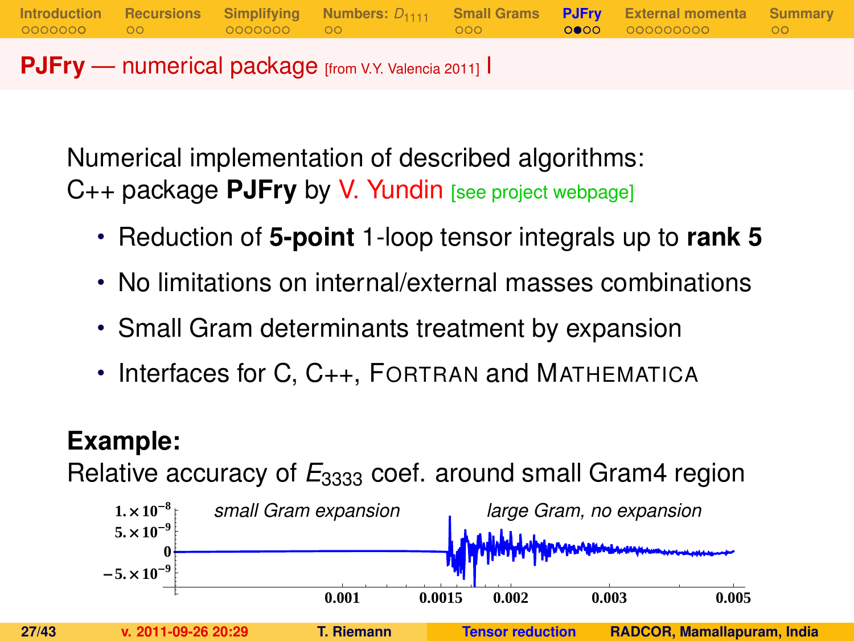**PJFry** — numerical package [from V.Y. Valencia 2011] I

Numerical implementation of described algorithms: C++ package **PJFry** by V. Yundin [see project webpage]

• Reduction of **5-point** 1-loop tensor integrals up to **rank 5**

**[Introduction](#page-1-0) [Recursions](#page-10-0) [Simplifying](#page-12-0) [Numbers:](#page-19-0)** *D*<sup>1111</sup> **[Small Grams](#page-21-0) [PJFry](#page-24-0) [External momenta](#page-29-0) [Summary](#page-40-0)**

- No limitations on internal/external masses combinations
- Small Gram determinants treatment by expansion
- Interfaces for C, C<sub>++</sub>, FORTRAN and MATHEMATICA

## **Example:**

Relative accuracy of  $E_{3333}$  coef. around small Gram4 region

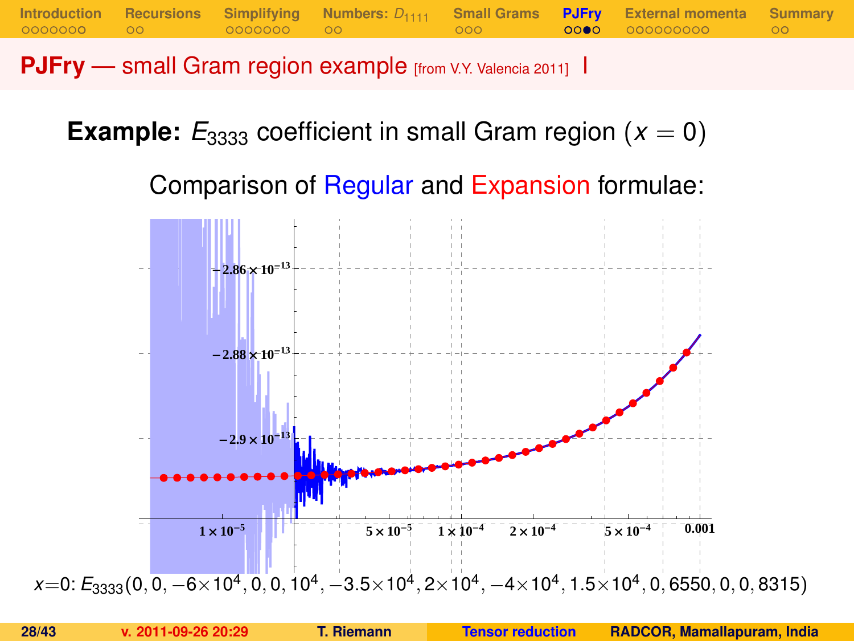**PJFry** — small Gram region example [from V.Y. Valencia 2011] I

**Example:**  $E_{3333}$  coefficient in small Gram region ( $x = 0$ )

Comparison of Regular and Expansion formulae:

**[Introduction](#page-1-0) [Recursions](#page-10-0) [Simplifying](#page-12-0) [Numbers:](#page-19-0)** *D*<sup>1111</sup> **[Small Grams](#page-21-0) [PJFry](#page-24-0) [External momenta](#page-29-0) [Summary](#page-40-0)**

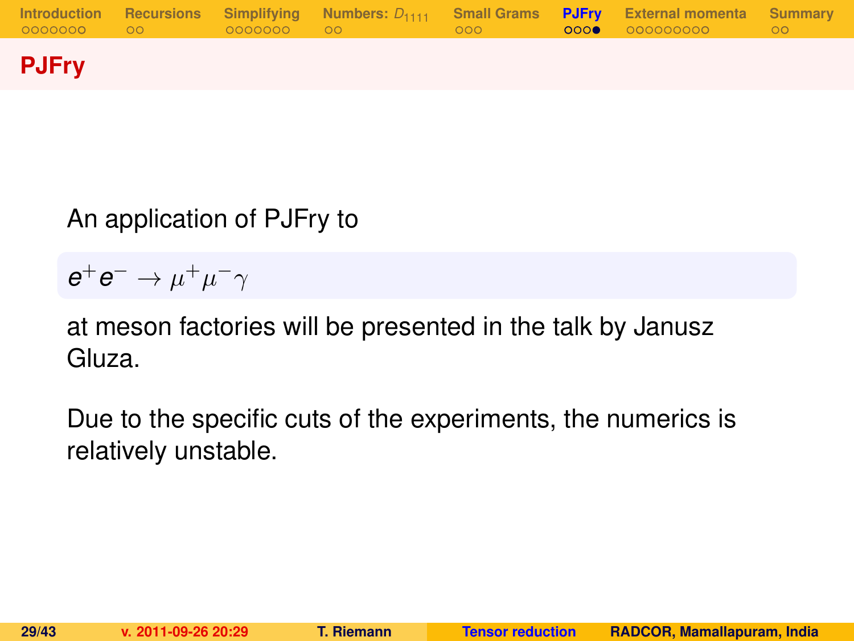

## An application of PJFry to

 $e^+e^- \rightarrow \mu^+\mu^-\gamma$ 

at meson factories will be presented in the talk by Janusz Gluza.

Due to the specific cuts of the experiments, the numerics is relatively unstable.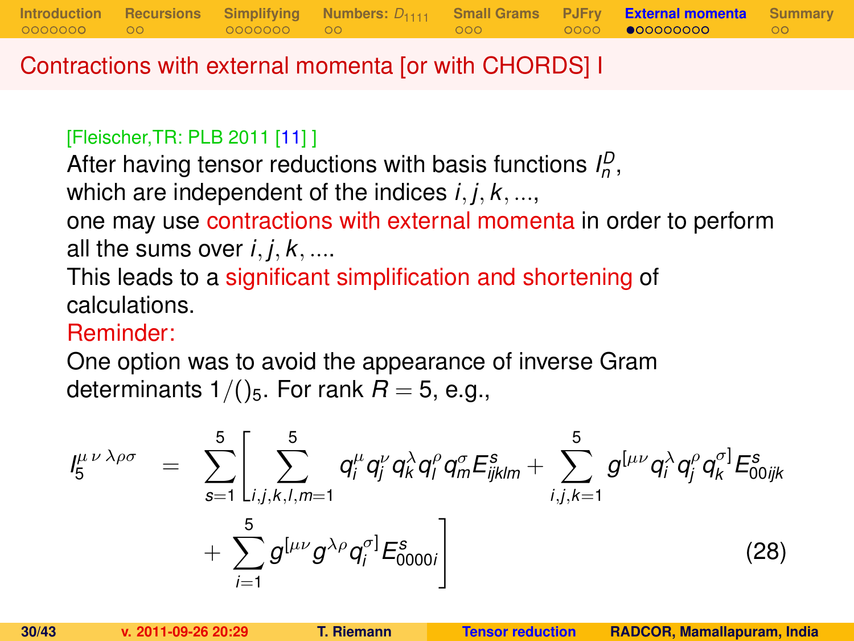Contractions with external momenta [or with CHORDS] I

#### [Fleischer,TR: PLB 2011 [\[11\]](#page-42-2) ]

After having tensor reductions with basis functions  $I_p^D$ , which are independent of the indices *i*, *j*, *k*, ..., one may use contractions with external momenta in order to perform all the sums over  $i, j, k, \ldots$ 

This leads to a significant simplification and shortening of calculations.

### Reminder:

One option was to avoid the appearance of inverse Gram determinants  $1/()$ <sub>5</sub>. For rank  $R = 5$ , e.g.,

<span id="page-29-0"></span>
$$
I_{5}^{\mu\nu\lambda\rho\sigma} = \sum_{s=1}^{5} \left[ \sum_{i,j,k,l,m=1}^{5} q_{i}^{\mu} q_{j}^{\nu} q_{k}^{\lambda} q_{l}^{\rho} q_{m}^{\sigma} E_{ijklm}^{s} + \sum_{i,j,k=1}^{5} g^{[\mu\nu} q_{i}^{\lambda} q_{j}^{\rho} q_{k}^{\sigma}] E_{00ijk}^{s} + \sum_{i=1}^{5} g^{[\mu\nu} g^{\lambda\rho} q_{i}^{\sigma}] E_{0000i}^{s} \right]
$$
(28)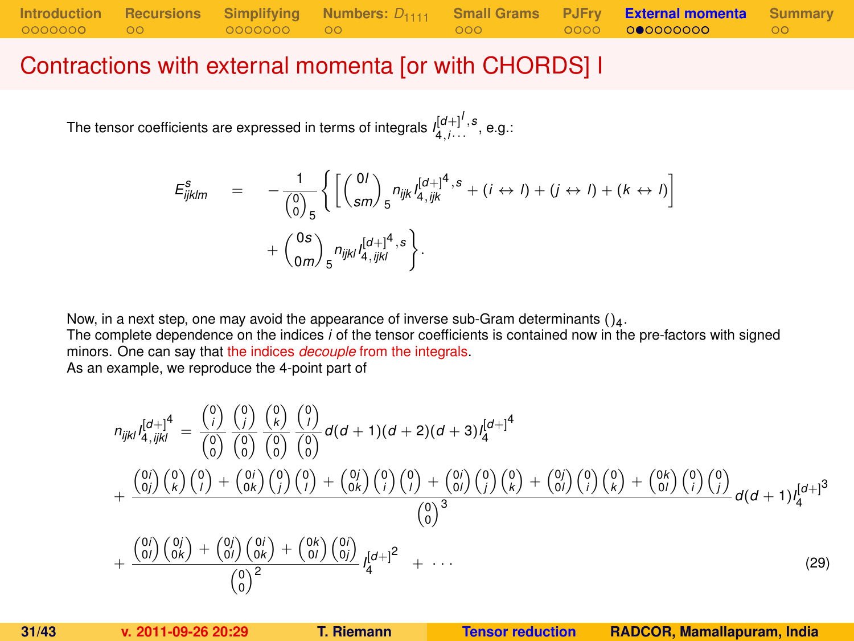#### Contractions with external momenta [or with CHORDS] I

The tensor coefficients are expressed in terms of integrals  $I_{4,i\cdots}^{[d+]^I,s}$  , e.g.:

$$
E_{ijklm}^s = -\frac{1}{\binom{0}{0}_{5}} \left\{ \left[ \binom{0I}{sm} _5 n_{ijk} I_{4,ijk}^{[d+]^4, s} + (i \leftrightarrow I) + (j \leftrightarrow I) + (k \leftrightarrow I) \right] + \binom{0s}{am} _5 n_{ijkl} I_{4,ijkl}^{[d+]^4, s} \right\}.
$$

Now, in a next step, one may avoid the appearance of inverse sub-Gram determinants  $()_4$ .

The complete dependence on the indices *i* of the tensor coefficients is contained now in the pre-factors with signed minors. One can say that the indices *decouple* from the integrals.

As an example, we reproduce the 4-point part of

<span id="page-30-0"></span>
$$
n_{ijkl}I_{4,ijkl}^{[d+]4} = \frac{\binom{0}{i}}{\binom{0}{0}}\frac{\binom{0}{i}}{\binom{0}{0}}\frac{\binom{0}{k}}{\binom{0}{0}}\frac{\binom{0}{k}}{\binom{0}{0}}d(d+1)(d+2)(d+3)I_{4}^{[d+1]4}
$$

$$
+\frac{\binom{0}{i}}{\binom{0}{i}}\binom{0}{k}\binom{0}{i}+\binom{0}{i}\binom{0}{j}\binom{0}{j}+\binom{0}{i}\binom{0}{j}\binom{0}{j}+\binom{0}{0i}\binom{0}{j}\binom{0}{k}+\binom{0}{0i}\binom{0}{i}\binom{0}{k}+\binom{0}{0i}\binom{0}{i}\binom{0}{j}}{\binom{0}{0}^{3}}d(d+1)I_{4}^{[d+1]3}
$$

$$
+\frac{\binom{0}{i}}{\binom{0}{i}}\frac{\binom{0}{j}}{\binom{0}{k}}+\frac{\binom{0}{j}}{\binom{0}{j}}\frac{\binom{0}{j}}{\binom{0}{j}}+\frac{\binom{0}{j}}{\binom{0}{j}}\frac{\binom{0}{j}}{\binom{0}{j}}+\frac{\binom{0}{j}}{\binom{0}{j}}\frac{\binom{0}{j}}{\binom{0}{j}}d(d+1)I_{4}^{[d+1]3}
$$

$$
+\frac{\binom{0}{i}}{\binom{0}{i}}\frac{\binom{0}{j}}{\binom{0}{k}}+\frac{\binom{0}{j}}{\binom{0}{j}}\frac{\binom{0}{j}}{\binom{0}{j}}}{\binom{0}{j}}^{2}
$$
(29)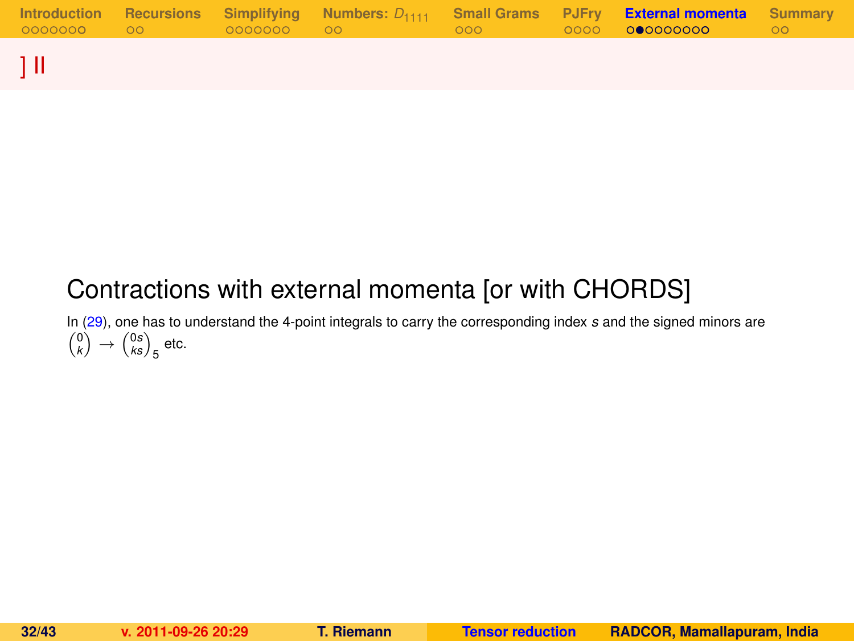|  |  |  | Introduction Recursions Simplifying Numbers: $D_{1111}$ Small-Grams PJFry <b>External-momenta</b> Summary |  |
|--|--|--|-----------------------------------------------------------------------------------------------------------|--|
|  |  |  |                                                                                                           |  |

## Contractions with external momenta [or with CHORDS]

In [\(29\)](#page-30-0), one has to understand the 4-point integrals to carry the corresponding index *s* and the signed minors are  $\binom{0}{k} \rightarrow \binom{0s}{ks}_5$  etc.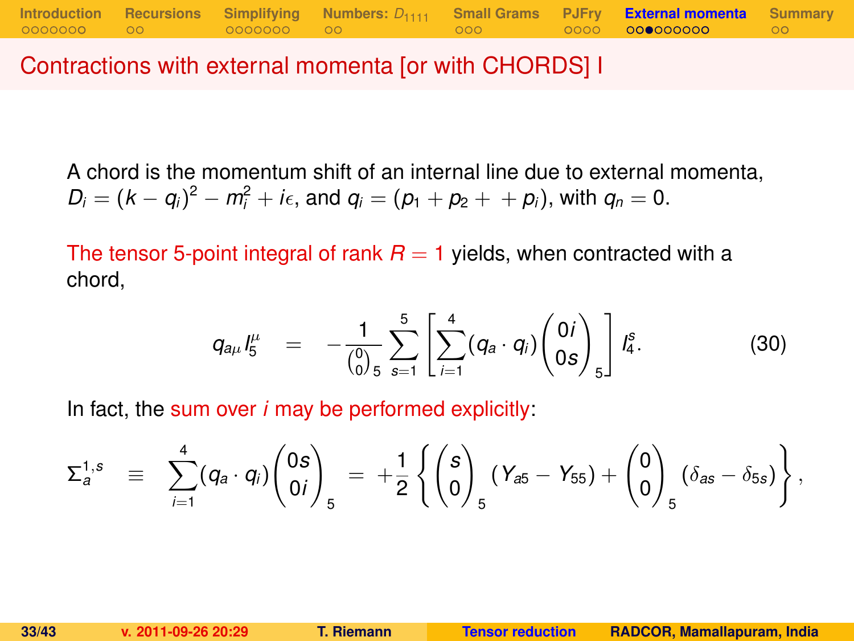Contractions with external momenta [or with CHORDS] I

A chord is the momentum shift of an internal line due to external momenta,  $D_i = (k - q_i)^2 - m_i^2 + i\epsilon$ , and  $q_i = (p_1 + p_2 + p_i)$ , with  $q_n = 0$ .

The tensor 5-point integral of rank  $R = 1$  yields, when contracted with a chord,

$$
q_{a\mu} I_5^{\mu} = -\frac{1}{\binom{0}{0} 5} \sum_{s=1}^5 \left[ \sum_{i=1}^4 (q_a \cdot q_i) \binom{0 i}{0 s} \right] I_4^s. \tag{30}
$$

In fact, the sum over *i* may be performed explicitly:

$$
\Sigma_a^{1,s} \equiv \sum_{i=1}^4 (q_a \cdot q_i) \begin{pmatrix} 0s \\ 0i \end{pmatrix}_5 = + \frac{1}{2} \left\{ \begin{pmatrix} s \\ 0 \end{pmatrix}_5 (Y_{a5} - Y_{55}) + \begin{pmatrix} 0 \\ 0 \end{pmatrix}_5 (\delta_{as} - \delta_{5s}) \right\},
$$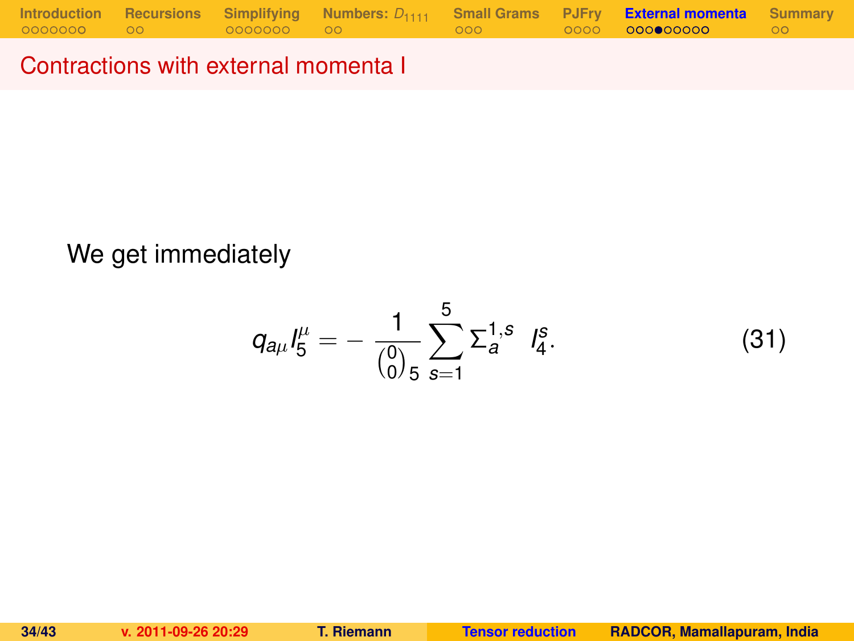Contractions with external momenta I

### We get immediately

$$
q_{a\mu}I_5^{\mu}=-\frac{1}{\binom{0}{0.5}}\sum_{s=1}^5\Sigma_a^{1,s}I_4^s.
$$
 (31)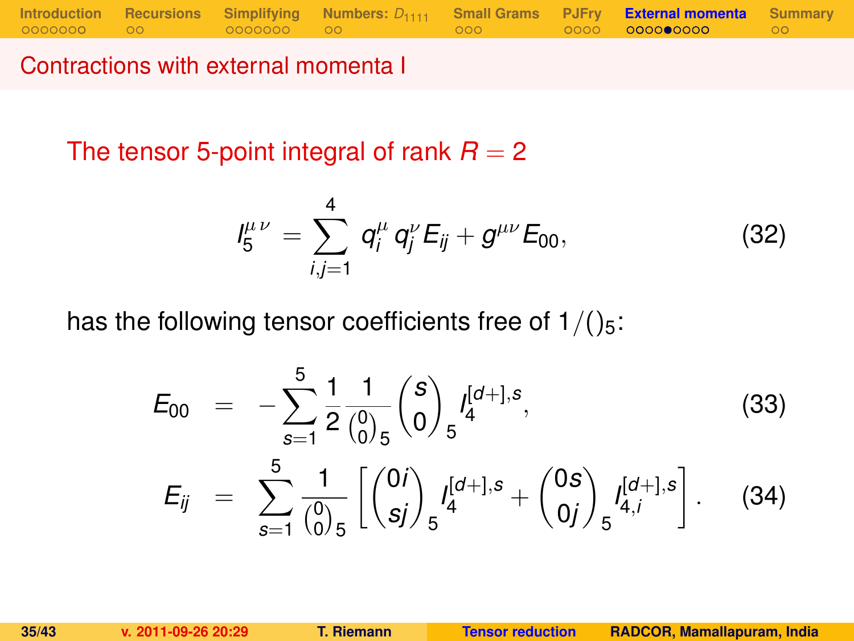**[Introduction](#page-1-0) [Recursions](#page-10-0) [Simplifying](#page-12-0) [Numbers:](#page-19-0)**  $D_{1111}$  **[Small Grams](#page-21-0) [PJFry](#page-24-0) [External momenta](#page-29-0) [Summary](#page-40-0)**<br>00000000 000 00000000 00

Contractions with external momenta I

The tensor 5-point integral of rank  $R = 2$ 

<span id="page-34-0"></span>
$$
I_5^{\mu\nu} = \sum_{i,j=1}^4 q_i^{\mu} q_j^{\nu} E_{ij} + g^{\mu\nu} E_{00}, \qquad (32)
$$

has the following tensor coefficients free of  $1/(25)$ :

$$
E_{00} = -\sum_{s=1}^{5} \frac{1}{2} \frac{1}{\binom{0}{0}} \binom{s}{0} f_4^{[d+],s},
$$
\n
$$
E_{ij} = \sum_{s=1}^{5} \frac{1}{\binom{0}{0}} \left[ \binom{0i}{sj} f_5^{[d+],s} + \binom{0s}{0j} f_{5}^{[d+],s} \right].
$$
\n(34)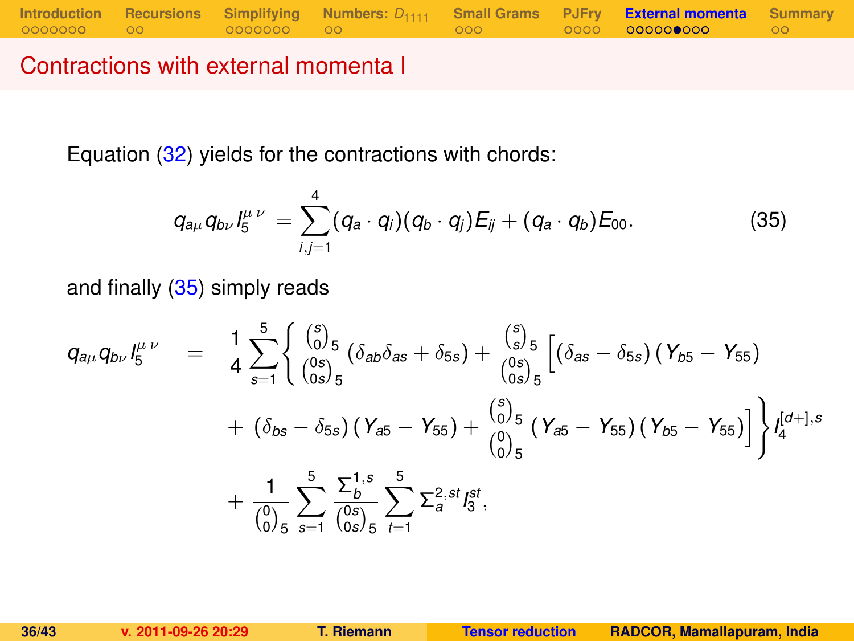Contractions with external momenta I

Equation [\(32\)](#page-34-0) yields for the contractions with chords:

<span id="page-35-0"></span>
$$
q_{a\mu}q_{b\nu}l_5^{\mu\nu}=\sum_{i,j=1}^4(q_a\cdot q_i)(q_b\cdot q_j)E_{ij}+(q_a\cdot q_b)E_{00}.
$$
 (35)

and finally [\(35\)](#page-35-0) simply reads

$$
q_{a\mu}q_{b\nu}I_5^{\mu\nu} = \frac{1}{4}\sum_{s=1}^5 \left\{ \frac{\binom{s}{0.5}}{\binom{0 s}{0 s/5}}(\delta_{a b}\delta_{a s} + \delta_{5 s}) + \frac{\binom{s}{5}}{\binom{0 s}{0 s/5}}\left[ (\delta_{a s} - \delta_{5 s}) (\gamma_{b 5} - \gamma_{5 5}) + (\delta_{b s} - \delta_{5 s}) (\gamma_{a 5} - \gamma_{5 5}) + (\delta_{b s} - \delta_{5 s}) (\gamma_{a 5} - \gamma_{5 5}) + \frac{\binom{s}{0.5}}{\binom{0.5}{0.5}}(\gamma_{a 5} - \gamma_{5 5}) (\gamma_{b 5} - \gamma_{5 5}) \right] \right\} I_4^{[d+],s}
$$

$$
+ \frac{1}{\binom{0.5}{0.5}} \sum_{s=1}^5 \frac{\sum_{b}^{1, s}}{\binom{0 s}{0 s}} \sum_{t=1}^5 \sum_{s=1}^{2, st} I_5^{st},
$$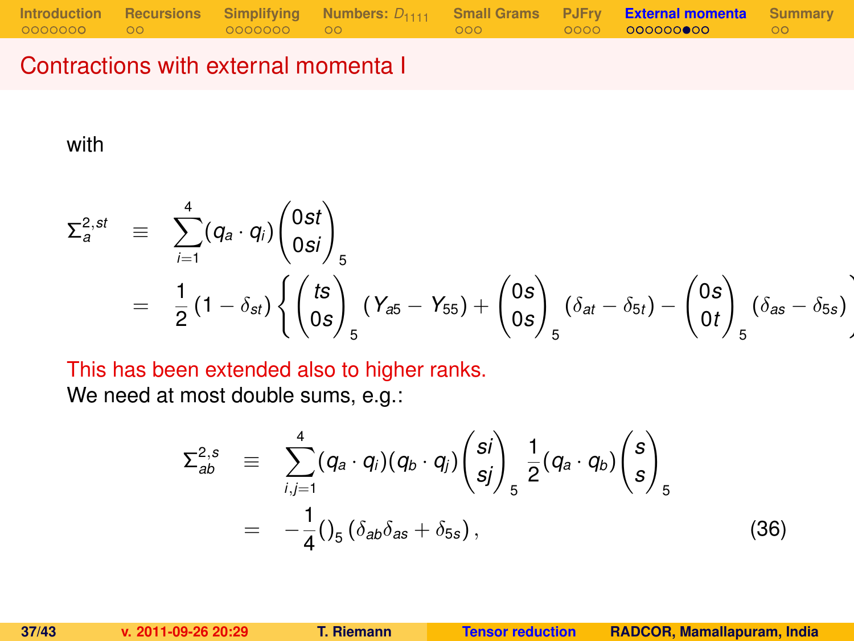#### Contractions with external momenta I

with

$$
\Sigma_{a}^{2,st} \equiv \sum_{i=1}^{4} (q_{a} \cdot q_{i}) \begin{pmatrix} 0st \\ 0si \end{pmatrix}_{5}
$$
  
=  $\frac{1}{2} (1 - \delta_{st}) \left\{ \begin{pmatrix} ts \\ 0s \end{pmatrix}_{5} (Y_{a5} - Y_{55}) + \begin{pmatrix} 0s \\ 0s \end{pmatrix}_{5} (\delta_{at} - \delta_{5t}) - \begin{pmatrix} 0s \\ 0t \end{pmatrix}_{5} (\delta_{as} - \delta_{5s}) \right\}$ 

This has been extended also to higher ranks.

We need at most double sums, e.g.:

$$
\Sigma_{ab}^{2,s} \equiv \sum_{i,j=1}^{4} (q_a \cdot q_i)(q_b \cdot q_j) {s_i \choose sj}_{5} \frac{1}{2} (q_a \cdot q_b) {s \choose s}_{5}
$$
  
=  $-\frac{1}{4} ()_{5} (\delta_{ab}\delta_{as} + \delta_{5s}),$  (36)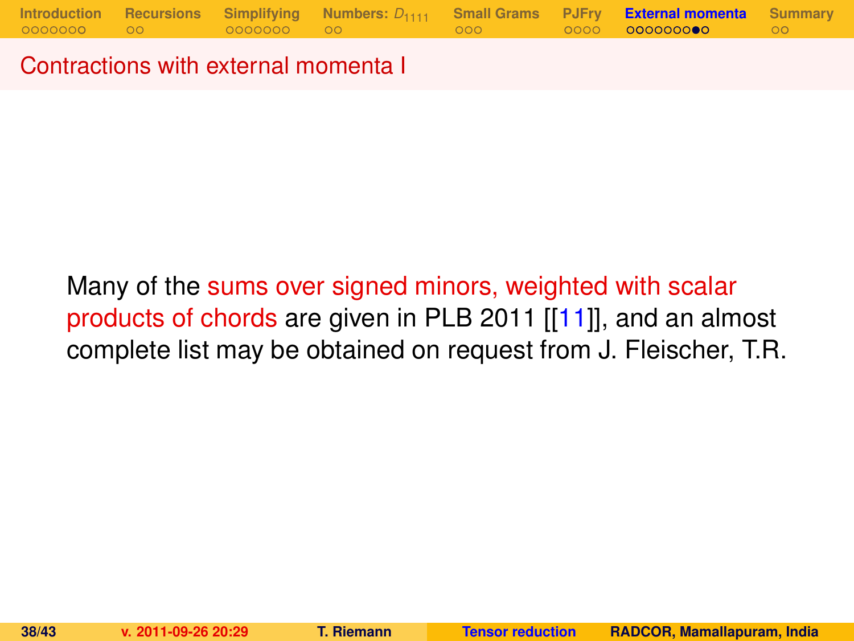Contractions with external momenta I

Many of the sums over signed minors, weighted with scalar products of chords are given in PLB 2011 [[\[11\]](#page-42-2)], and an almost complete list may be obtained on request from J. Fleischer, T.R.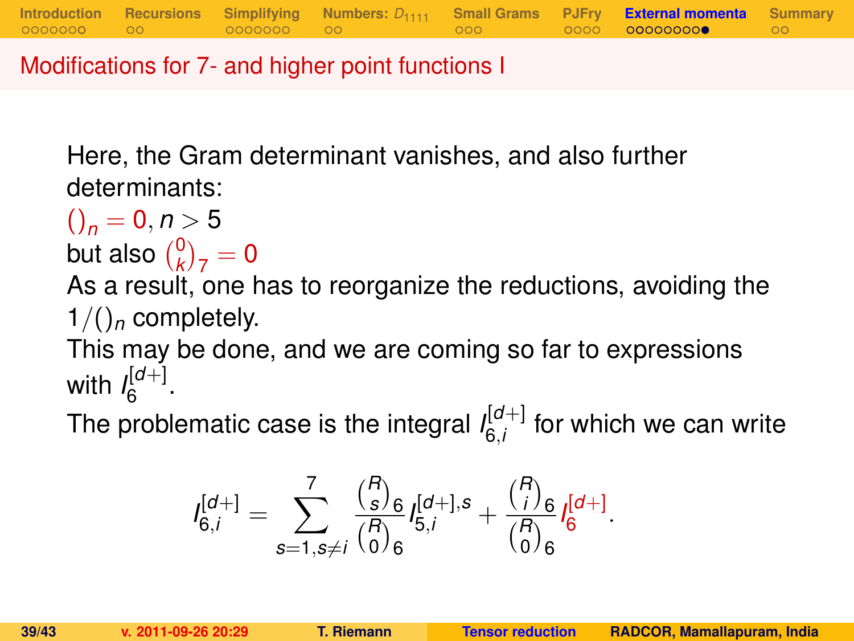Modifications for 7- and higher point functions I

Here, the Gram determinant vanishes, and also further determinants:

$$
\binom{}{n} = 0, n > 5
$$
but also 
$$
\binom{0}{k}_7 = 0
$$

As a result, one has to reorganize the reductions, avoiding the  $1/()_n$  completely.

**[Introduction](#page-1-0) [Recursions](#page-10-0) [Simplifying](#page-12-0) [Numbers:](#page-19-0)** *D*<sup>1111</sup> **[Small Grams](#page-21-0) [PJFry](#page-24-0) [External momenta](#page-29-0) [Summary](#page-40-0)**

This may be done, and we are coming so far to expressions with  $\int_{6}^{[d+]}$ יש⊩<br>6

The problematic case is the integral  $I_{6i}^{[d+]}$  $\int_{6,i}^{[0+]}$  for which we can write

$$
I_{6,i}^{[d+]} = \sum_{s=1, s \neq i}^{7} \frac{{R \choose s}_6}{{R \choose 0}_6} I_{5,i}^{[d+],s} + \frac{{R \choose i}_6}{{R \choose 0}_6} I_{6}^{[d+]}.
$$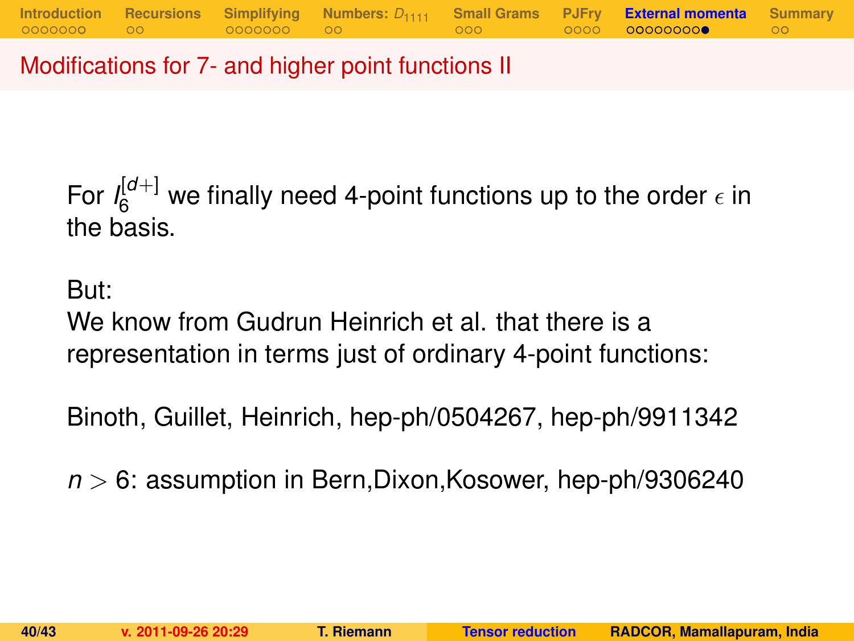Modifications for 7- and higher point functions II

For  $I_6^{[d+]}$  we finally need 4-point functions up to the order  $\epsilon$  in the basis.

But:

We know from Gudrun Heinrich et al. that there is a representation in terms just of ordinary 4-point functions:

Binoth, Guillet, Heinrich, hep-ph/0504267, hep-ph/9911342

*n* > 6: assumption in Bern,Dixon,Kosower, hep-ph/9306240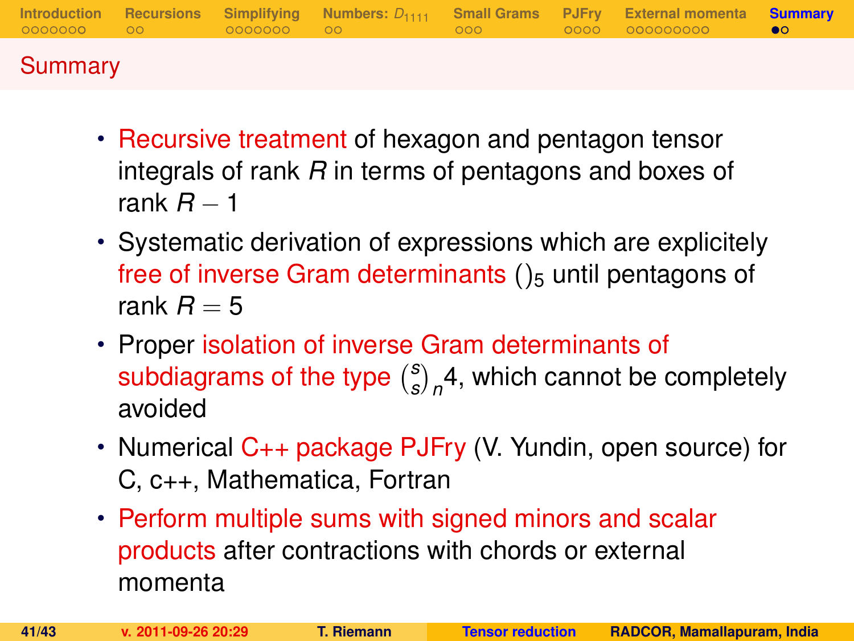|         |  |  | Introduction Recursions Simplifying Numbers: $D_{1111}$ Small Grams PJFry External momenta Summary |  |
|---------|--|--|----------------------------------------------------------------------------------------------------|--|
| Summary |  |  |                                                                                                    |  |

- Recursive treatment of hexagon and pentagon tensor integrals of rank *R* in terms of pentagons and boxes of rank *R* − 1
- Systematic derivation of expressions which are explicitely free of inverse Gram determinants  $()_5$  until pentagons of rank  $R = 5$
- Proper isolation of inverse Gram determinants of subdiagrams of the type *s*  $\binom{s}{s}_n$ 4, which cannot be completely avoided
- Numerical C++ package PJFry (V. Yundin, open source) for C, c++, Mathematica, Fortran
- <span id="page-40-0"></span>• Perform multiple sums with signed minors and scalar products after contractions with chords or external momenta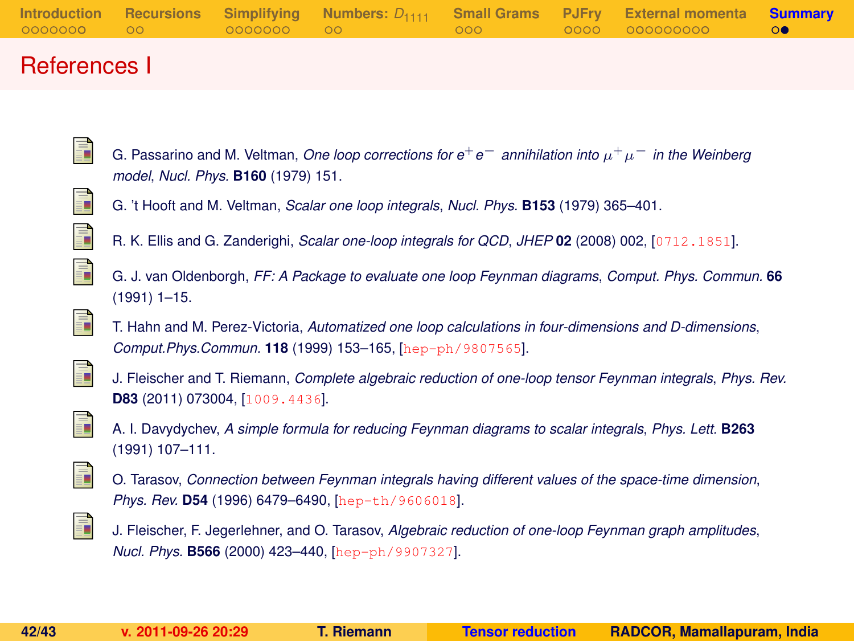|  |  |  | Introduction Recursions Simplifying Numbers: $D_{1111}$ Small Grams PJFry External momenta Summary |  |
|--|--|--|----------------------------------------------------------------------------------------------------|--|
|  |  |  |                                                                                                    |  |
|  |  |  |                                                                                                    |  |
|  |  |  |                                                                                                    |  |

#### References I

G. Passarino and M. Veltman, *One loop corrections for e*+*e*<sup>−</sup> *annihilation into* µ <sup>+</sup>µ<sup>−</sup> *in the Weinberg model*, *Nucl. Phys.* **B160** (1979) 151.

<span id="page-41-2"></span><span id="page-41-1"></span>

<span id="page-41-0"></span>ā.

- G. 't Hooft and M. Veltman, *Scalar one loop integrals*, *Nucl. Phys.* **B153** (1979) 365–401.
- R. K. Ellis and G. Zanderighi, *Scalar one-loop integrals for QCD*, *JHEP* **02** (2008) 002, [[0712.1851](http://xxx.lanl.gov/abs/0712.1851)].

<span id="page-41-3"></span>

G. J. van Oldenborgh, *FF: A Package to evaluate one loop Feynman diagrams*, *Comput. Phys. Commun.* **66** (1991) 1–15.

<span id="page-41-4"></span>

T. Hahn and M. Perez-Victoria, *Automatized one loop calculations in four-dimensions and D-dimensions*, *Comput.Phys.Commun.* **118** (1999) 153–165, [[hep-ph/9807565](http://xxx.lanl.gov/abs/hep-ph/9807565)].

<span id="page-41-5"></span>

J. Fleischer and T. Riemann, *Complete algebraic reduction of one-loop tensor Feynman integrals*, *Phys. Rev.* **D83** (2011) 073004, [[1009.4436](http://xxx.lanl.gov/abs/1009.4436)].

<span id="page-41-6"></span>

A. I. Davydychev, *A simple formula for reducing Feynman diagrams to scalar integrals*, *Phys. Lett.* **B263** (1991) 107–111.

<span id="page-41-7"></span>

O. Tarasov, *Connection between Feynman integrals having different values of the space-time dimension*, *Phys. Rev.* **D54** (1996) 6479–6490, [[hep-th/9606018](http://xxx.lanl.gov/abs/hep-th/9606018)].

<span id="page-41-8"></span>

J. Fleischer, F. Jegerlehner, and O. Tarasov, *Algebraic reduction of one-loop Feynman graph amplitudes*, *Nucl. Phys.* **B566** (2000) 423–440, [[hep-ph/9907327](http://xxx.lanl.gov/abs/hep-ph/9907327)].